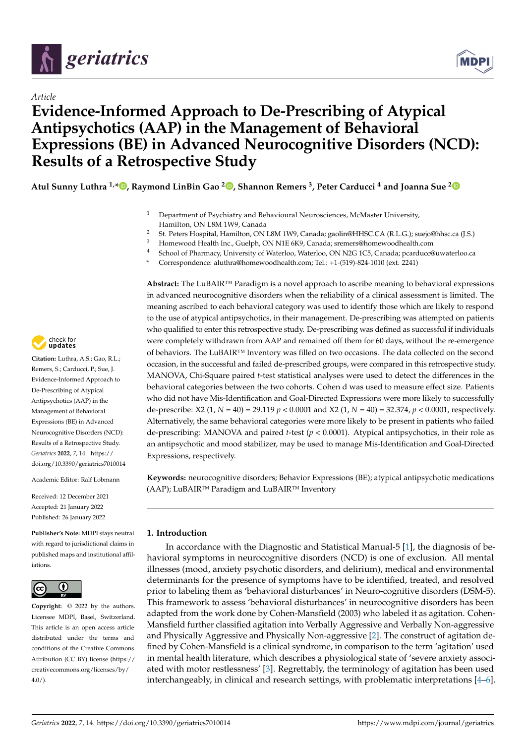

# *Article*

# **Evidence-Informed Approach to De-Prescribing of Atypical Antipsychotics (AAP) in the Management of Behavioral Expressions (BE) in Advanced Neurocognitive Disorders (NCD): Results of a Retrospective Study**

**Atul Sunny Luthra 1,\* [,](https://orcid.org/0000-0002-0561-3127) Raymond LinBin Gao <sup>2</sup> [,](https://orcid.org/0000-0001-7756-1584) Shannon Remers <sup>3</sup> , Peter Carducci <sup>4</sup> and Joanna Sue [2](https://orcid.org/0000-0002-8147-6398)**

- <sup>1</sup> Department of Psychiatry and Behavioural Neurosciences, McMaster University, Hamilton, ON L8M 1W9, Canada
- <sup>2</sup> St. Peters Hospital, Hamilton, ON L8M 1W9, Canada; gaolin@HHSC.CA (R.L.G.); suejo@hhsc.ca (J.S.)
- <sup>3</sup> Homewood Health Inc., Guelph, ON N1E 6K9, Canada; sremers@homewoodhealth.com
- <sup>4</sup> School of Pharmacy, University of Waterloo, Waterloo, ON N2G 1C5, Canada; pcarducc@uwaterloo.ca
- **\*** Correspondence: aluthra@homewoodhealth.com; Tel.: +1-(519)-824-1010 (ext. 2241)

**Abstract:** The LuBAIR™ Paradigm is a novel approach to ascribe meaning to behavioral expressions in advanced neurocognitive disorders when the reliability of a clinical assessment is limited. The meaning ascribed to each behavioral category was used to identify those which are likely to respond to the use of atypical antipsychotics, in their management. De-prescribing was attempted on patients who qualified to enter this retrospective study. De-prescribing was defined as successful if individuals were completely withdrawn from AAP and remained off them for 60 days, without the re-emergence of behaviors. The LuBAIR™ Inventory was filled on two occasions. The data collected on the second occasion, in the successful and failed de-prescribed groups, were compared in this retrospective study. MANOVA, Chi-Square paired *t*-test statistical analyses were used to detect the differences in the behavioral categories between the two cohorts. Cohen d was used to measure effect size. Patients who did not have Mis-Identification and Goal-Directed Expressions were more likely to successfully de-prescribe: X2 (1, *N* = 40) = 29.119 *p* < 0.0001 and X2 (1, *N* = 40) = 32.374, *p* < 0.0001, respectively. Alternatively, the same behavioral categories were more likely to be present in patients who failed de-prescribing: MANOVA and paired *t*-test (*p* < 0.0001). Atypical antipsychotics, in their role as an antipsychotic and mood stabilizer, may be used to manage Mis-Identification and Goal-Directed Expressions, respectively.

**Keywords:** neurocognitive disorders; Behavior Expressions (BE); atypical antipsychotic medications (AAP); LuBAIR™ Paradigm and LuBAIR™ Inventory

## **1. Introduction**

In accordance with the Diagnostic and Statistical Manual-5 [\[1\]](#page-18-0), the diagnosis of behavioral symptoms in neurocognitive disorders (NCD) is one of exclusion. All mental illnesses (mood, anxiety psychotic disorders, and delirium), medical and environmental determinants for the presence of symptoms have to be identified, treated, and resolved prior to labeling them as 'behavioral disturbances' in Neuro-cognitive disorders (DSM-5). This framework to assess 'behavioral disturbances' in neurocognitive disorders has been adapted from the work done by Cohen-Mansfield (2003) who labeled it as agitation. Cohen-Mansfield further classified agitation into Verbally Aggressive and Verbally Non-aggressive and Physically Aggressive and Physically Non-aggressive [\[2\]](#page-18-1). The construct of agitation defined by Cohen-Mansfield is a clinical syndrome, in comparison to the term 'agitation' used in mental health literature, which describes a physiological state of 'severe anxiety associated with motor restlessness' [\[3\]](#page-18-2). Regrettably, the terminology of agitation has been used interchangeably, in clinical and research settings, with problematic interpretations [\[4](#page-18-3)[–6\]](#page-18-4).



**Citation:** Luthra, A.S.; Gao, R.L.; Remers, S.; Carducci, P.; Sue, J. Evidence-Informed Approach to De-Prescribing of Atypical Antipsychotics (AAP) in the Management of Behavioral Expressions (BE) in Advanced Neurocognitive Disorders (NCD): Results of a Retrospective Study. *Geriatrics* **2022**, *7*, 14. [https://](https://doi.org/10.3390/geriatrics7010014) [doi.org/10.3390/geriatrics7010014](https://doi.org/10.3390/geriatrics7010014)

Academic Editor: Ralf Lobmann

Received: 12 December 2021 Accepted: 21 January 2022 Published: 26 January 2022

**Publisher's Note:** MDPI stays neutral with regard to jurisdictional claims in published maps and institutional affiliations.



**Copyright:** © 2022 by the authors. Licensee MDPI, Basel, Switzerland. This article is an open access article distributed under the terms and conditions of the Creative Commons Attribution (CC BY) license [\(https://](https://creativecommons.org/licenses/by/4.0/) [creativecommons.org/licenses/by/](https://creativecommons.org/licenses/by/4.0/)  $4.0/$ ).

**MDP**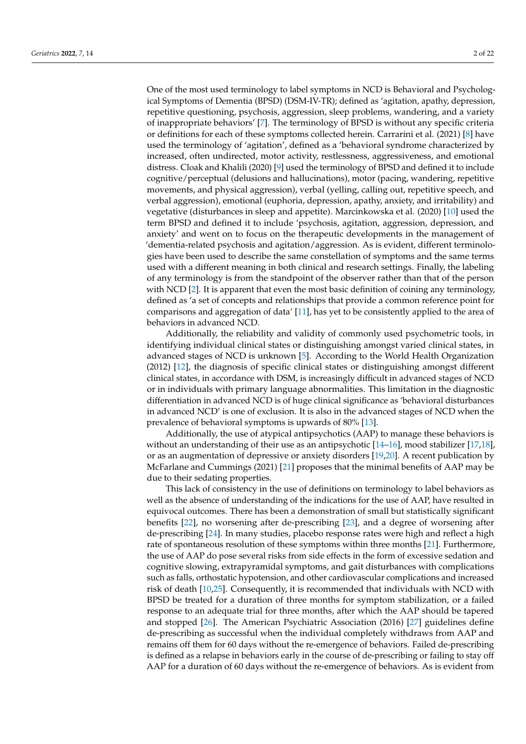One of the most used terminology to label symptoms in NCD is Behavioral and Psychological Symptoms of Dementia (BPSD) (DSM-IV-TR); defined as 'agitation, apathy, depression, repetitive questioning, psychosis, aggression, sleep problems, wandering, and a variety of inappropriate behaviors' [\[7\]](#page-18-5). The terminology of BPSD is without any specific criteria or definitions for each of these symptoms collected herein. Carrarini et al. (2021) [\[8\]](#page-18-6) have used the terminology of 'agitation', defined as a 'behavioral syndrome characterized by increased, often undirected, motor activity, restlessness, aggressiveness, and emotional distress. Cloak and Khalili (2020) [\[9\]](#page-18-7) used the terminology of BPSD and defined it to include cognitive/perceptual (delusions and hallucinations), motor (pacing, wandering, repetitive movements, and physical aggression), verbal (yelling, calling out, repetitive speech, and verbal aggression), emotional (euphoria, depression, apathy, anxiety, and irritability) and vegetative (disturbances in sleep and appetite). Marcinkowska et al. (2020) [\[10\]](#page-19-0) used the term BPSD and defined it to include 'psychosis, agitation, aggression, depression, and anxiety' and went on to focus on the therapeutic developments in the management of 'dementia-related psychosis and agitation/aggression. As is evident, different terminologies have been used to describe the same constellation of symptoms and the same terms used with a different meaning in both clinical and research settings. Finally, the labeling of any terminology is from the standpoint of the observer rather than that of the person with NCD [\[2\]](#page-18-1). It is apparent that even the most basic definition of coining any terminology, defined as 'a set of concepts and relationships that provide a common reference point for comparisons and aggregation of data' [\[11\]](#page-19-1), has yet to be consistently applied to the area of behaviors in advanced NCD.

Additionally, the reliability and validity of commonly used psychometric tools, in identifying individual clinical states or distinguishing amongst varied clinical states, in advanced stages of NCD is unknown [\[5\]](#page-18-8). According to the World Health Organization (2012) [\[12\]](#page-19-2), the diagnosis of specific clinical states or distinguishing amongst different clinical states, in accordance with DSM, is increasingly difficult in advanced stages of NCD or in individuals with primary language abnormalities. This limitation in the diagnostic differentiation in advanced NCD is of huge clinical significance as 'behavioral disturbances in advanced NCD' is one of exclusion. It is also in the advanced stages of NCD when the prevalence of behavioral symptoms is upwards of 80% [\[13\]](#page-19-3).

Additionally, the use of atypical antipsychotics (AAP) to manage these behaviors is without an understanding of their use as an antipsychotic [\[14–](#page-19-4)[16\]](#page-19-5), mood stabilizer [\[17](#page-19-6)[,18\]](#page-19-7), or as an augmentation of depressive or anxiety disorders [\[19,](#page-19-8)[20\]](#page-19-9). A recent publication by McFarlane and Cummings (2021) [\[21\]](#page-19-10) proposes that the minimal benefits of AAP may be due to their sedating properties.

This lack of consistency in the use of definitions on terminology to label behaviors as well as the absence of understanding of the indications for the use of AAP, have resulted in equivocal outcomes. There has been a demonstration of small but statistically significant benefits [\[22\]](#page-19-11), no worsening after de-prescribing [\[23\]](#page-19-12), and a degree of worsening after de-prescribing [\[24\]](#page-19-13). In many studies, placebo response rates were high and reflect a high rate of spontaneous resolution of these symptoms within three months [\[21\]](#page-19-10). Furthermore, the use of AAP do pose several risks from side effects in the form of excessive sedation and cognitive slowing, extrapyramidal symptoms, and gait disturbances with complications such as falls, orthostatic hypotension, and other cardiovascular complications and increased risk of death [\[10,](#page-19-0)[25\]](#page-19-14). Consequently, it is recommended that individuals with NCD with BPSD be treated for a duration of three months for symptom stabilization, or a failed response to an adequate trial for three months, after which the AAP should be tapered and stopped [\[26\]](#page-19-15). The American Psychiatric Association (2016) [\[27\]](#page-19-16) guidelines define de-prescribing as successful when the individual completely withdraws from AAP and remains off them for 60 days without the re-emergence of behaviors. Failed de-prescribing is defined as a relapse in behaviors early in the course of de-prescribing or failing to stay off AAP for a duration of 60 days without the re-emergence of behaviors. As is evident from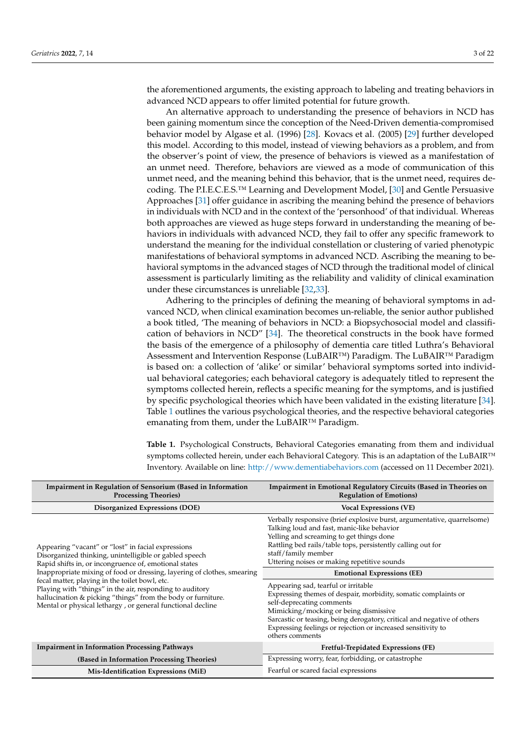the aforementioned arguments, the existing approach to labeling and treating behaviors in advanced NCD appears to offer limited potential for future growth.

An alternative approach to understanding the presence of behaviors in NCD has been gaining momentum since the conception of the Need-Driven dementia-compromised behavior model by Algase et al. (1996) [\[28\]](#page-19-17). Kovacs et al. (2005) [\[29\]](#page-19-18) further developed this model. According to this model, instead of viewing behaviors as a problem, and from the observer's point of view, the presence of behaviors is viewed as a manifestation of an unmet need. Therefore, behaviors are viewed as a mode of communication of this unmet need, and the meaning behind this behavior, that is the unmet need, requires decoding. The P.I.E.C.E.S.™ Learning and Development Model, [\[30\]](#page-19-19) and Gentle Persuasive Approaches [\[31\]](#page-19-20) offer guidance in ascribing the meaning behind the presence of behaviors in individuals with NCD and in the context of the 'personhood' of that individual. Whereas both approaches are viewed as huge steps forward in understanding the meaning of behaviors in individuals with advanced NCD, they fail to offer any specific framework to understand the meaning for the individual constellation or clustering of varied phenotypic manifestations of behavioral symptoms in advanced NCD. Ascribing the meaning to behavioral symptoms in the advanced stages of NCD through the traditional model of clinical assessment is particularly limiting as the reliability and validity of clinical examination under these circumstances is unreliable [\[32](#page-19-21)[,33\]](#page-19-22).

Adhering to the principles of defining the meaning of behavioral symptoms in advanced NCD, when clinical examination becomes un-reliable, the senior author published a book titled, 'The meaning of behaviors in NCD: a Biopsychosocial model and classification of behaviors in NCD" [\[34\]](#page-19-23). The theoretical constructs in the book have formed the basis of the emergence of a philosophy of dementia care titled Luthra's Behavioral Assessment and Intervention Response (LuBAIR™) Paradigm. The LuBAIR™ Paradigm is based on: a collection of 'alike' or similar' behavioral symptoms sorted into individual behavioral categories; each behavioral category is adequately titled to represent the symptoms collected herein, reflects a specific meaning for the symptoms, and is justified by specific psychological theories which have been validated in the existing literature [\[34\]](#page-19-23). Table [1](#page-3-0) outlines the various psychological theories, and the respective behavioral categories emanating from them, under the LuBAIR™ Paradigm.

**Table 1.** Psychological Constructs, Behavioral Categories emanating from them and individual symptoms collected herein, under each Behavioral Category. This is an adaptation of the LuBAIR™ Inventory. Available on line: <http://www.dementiabehaviors.com> (accessed on 11 December 2021).

| <b>Impairment in Regulation of Sensorium (Based in Information</b><br><b>Processing Theories</b> )                                                                                                                                                                                                                                                                                                                                                                                           | Impairment in Emotional Regulatory Circuits (Based in Theories on<br><b>Regulation of Emotions</b> )                                                                                                                                                                                                                                                                                                                                                                                                                                                                                                                                                                                     |
|----------------------------------------------------------------------------------------------------------------------------------------------------------------------------------------------------------------------------------------------------------------------------------------------------------------------------------------------------------------------------------------------------------------------------------------------------------------------------------------------|------------------------------------------------------------------------------------------------------------------------------------------------------------------------------------------------------------------------------------------------------------------------------------------------------------------------------------------------------------------------------------------------------------------------------------------------------------------------------------------------------------------------------------------------------------------------------------------------------------------------------------------------------------------------------------------|
| Disorganized Expressions (DOE)                                                                                                                                                                                                                                                                                                                                                                                                                                                               | <b>Vocal Expressions (VE)</b>                                                                                                                                                                                                                                                                                                                                                                                                                                                                                                                                                                                                                                                            |
| Appearing "vacant" or "lost" in facial expressions<br>Disorganized thinking, unintelligible or gabled speech<br>Rapid shifts in, or incongruence of, emotional states<br>Inappropriate mixing of food or dressing, layering of clothes, smearing<br>fecal matter, playing in the toilet bowl, etc.<br>Playing with "things" in the air, responding to auditory<br>hallucination & picking "things" from the body or furniture.<br>Mental or physical lethargy, or general functional decline | Verbally responsive (brief explosive burst, argumentative, quarrelsome)<br>Talking loud and fast, manic-like behavior<br>Yelling and screaming to get things done<br>Rattling bed rails/table tops, persistently calling out for<br>staff/family member<br>Uttering noises or making repetitive sounds<br><b>Emotional Expressions (EE)</b><br>Appearing sad, tearful or irritable<br>Expressing themes of despair, morbidity, somatic complaints or<br>self-deprecating comments<br>Mimicking/mocking or being dismissive<br>Sarcastic or teasing, being derogatory, critical and negative of others<br>Expressing feelings or rejection or increased sensitivity to<br>others comments |
| <b>Impairment in Information Processing Pathways</b>                                                                                                                                                                                                                                                                                                                                                                                                                                         | Fretful-Trepidated Expressions (FE)                                                                                                                                                                                                                                                                                                                                                                                                                                                                                                                                                                                                                                                      |
| (Based in Information Processing Theories)                                                                                                                                                                                                                                                                                                                                                                                                                                                   | Expressing worry, fear, forbidding, or catastrophe                                                                                                                                                                                                                                                                                                                                                                                                                                                                                                                                                                                                                                       |
| Mis-Identification Expressions (MiE)                                                                                                                                                                                                                                                                                                                                                                                                                                                         | Fearful or scared facial expressions                                                                                                                                                                                                                                                                                                                                                                                                                                                                                                                                                                                                                                                     |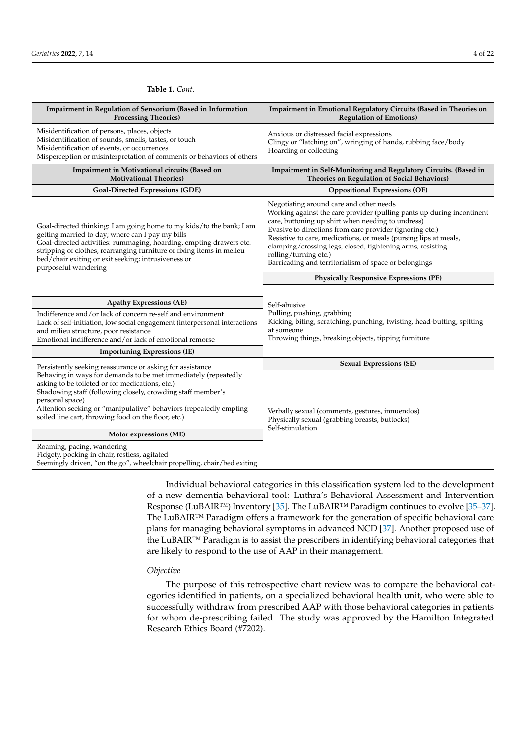| Impairment in Regulation of Sensorium (Based in Information<br><b>Processing Theories)</b>                                                                                                                                                                                                                                                                                                   | Impairment in Emotional Regulatory Circuits (Based in Theories on<br><b>Regulation of Emotions)</b>                                                                                                                                                                                                                                                                                                                                                    |  |  |  |
|----------------------------------------------------------------------------------------------------------------------------------------------------------------------------------------------------------------------------------------------------------------------------------------------------------------------------------------------------------------------------------------------|--------------------------------------------------------------------------------------------------------------------------------------------------------------------------------------------------------------------------------------------------------------------------------------------------------------------------------------------------------------------------------------------------------------------------------------------------------|--|--|--|
| Misidentification of persons, places, objects<br>Misidentification of sounds, smells, tastes, or touch<br>Misidentification of events, or occurrences<br>Misperception or misinterpretation of comments or behaviors of others                                                                                                                                                               | Anxious or distressed facial expressions<br>Clingy or "latching on", wringing of hands, rubbing face/body<br>Hoarding or collecting                                                                                                                                                                                                                                                                                                                    |  |  |  |
| Impairment in Motivational circuits (Based on<br><b>Motivational Theories</b> )                                                                                                                                                                                                                                                                                                              | Impairment in Self-Monitoring and Regulatory Circuits. (Based in<br><b>Theories on Regulation of Social Behaviors)</b>                                                                                                                                                                                                                                                                                                                                 |  |  |  |
| <b>Goal-Directed Expressions (GDE)</b>                                                                                                                                                                                                                                                                                                                                                       | <b>Oppositional Expressions (OE)</b>                                                                                                                                                                                                                                                                                                                                                                                                                   |  |  |  |
| Goal-directed thinking: I am going home to my kids/to the bank; I am<br>getting married to day; where can I pay my bills<br>Goal-directed activities: rummaging, hoarding, empting drawers etc.<br>stripping of clothes, rearranging furniture or fixing items in melleu<br>bed/chair exiting or exit seeking; intrusiveness or<br>purposeful wandering                                      | Negotiating around care and other needs<br>Working against the care provider (pulling pants up during incontinent<br>care, buttoning up shirt when needing to undress)<br>Evasive to directions from care provider (ignoring etc.)<br>Resistive to care, medications, or meals (pursing lips at meals,<br>clamping/crossing legs, closed, tightening arms, resisting<br>rolling/turning etc.)<br>Barricading and territorialism of space or belongings |  |  |  |
|                                                                                                                                                                                                                                                                                                                                                                                              | <b>Physically Responsive Expressions (PE)</b>                                                                                                                                                                                                                                                                                                                                                                                                          |  |  |  |
| <b>Apathy Expressions (AE)</b>                                                                                                                                                                                                                                                                                                                                                               | Self-abusive                                                                                                                                                                                                                                                                                                                                                                                                                                           |  |  |  |
| Indifference and/or lack of concern re-self and environment<br>Lack of self-initiation, low social engagement (interpersonal interactions<br>and milieu structure, poor resistance<br>Emotional indifference and/or lack of emotional remorse                                                                                                                                                | Pulling, pushing, grabbing<br>Kicking, biting, scratching, punching, twisting, head-butting, spitting<br>at someone<br>Throwing things, breaking objects, tipping furniture                                                                                                                                                                                                                                                                            |  |  |  |
| <b>Importuning Expressions (IE)</b>                                                                                                                                                                                                                                                                                                                                                          |                                                                                                                                                                                                                                                                                                                                                                                                                                                        |  |  |  |
| Persistently seeking reassurance or asking for assistance<br>Behaving in ways for demands to be met immediately (repeatedly<br>asking to be toileted or for medications, etc.)<br>Shadowing staff (following closely, crowding staff member's<br>personal space)<br>Attention seeking or "manipulative" behaviors (repeatedly empting<br>soiled line cart, throwing food on the floor, etc.) | <b>Sexual Expressions (SE)</b><br>Verbally sexual (comments, gestures, innuendos)<br>Physically sexual (grabbing breasts, buttocks)                                                                                                                                                                                                                                                                                                                    |  |  |  |
| Motor expressions (ME)                                                                                                                                                                                                                                                                                                                                                                       | Self-stimulation                                                                                                                                                                                                                                                                                                                                                                                                                                       |  |  |  |
| Roaming, pacing, wandering<br>Fidgety, pocking in chair, restless, agitated<br>Seemingly driven, "on the go", wheelchair propelling, chair/bed exiting                                                                                                                                                                                                                                       |                                                                                                                                                                                                                                                                                                                                                                                                                                                        |  |  |  |

# Individual behavioral categories in this classification system led to the development of a new dementia behavioral tool: Luthra's Behavioral Assessment and Intervention Response (LuBAIR™) Inventory [\[35\]](#page-19-24). The LuBAIR™ Paradigm continues to evolve [\[35](#page-19-24)[–37\]](#page-19-25). The LuBAIR™ Paradigm offers a framework for the generation of specific behavioral care plans for managing behavioral symptoms in advanced NCD [\[37\]](#page-19-25). Another proposed use of the LuBAIR™ Paradigm is to assist the prescribers in identifying behavioral categories that are likely to respond to the use of AAP in their management.

#### *Objective*

<span id="page-3-0"></span>**Table 1.** *Cont.*

The purpose of this retrospective chart review was to compare the behavioral categories identified in patients, on a specialized behavioral health unit, who were able to successfully withdraw from prescribed AAP with those behavioral categories in patients for whom de-prescribing failed. The study was approved by the Hamilton Integrated Research Ethics Board (#7202).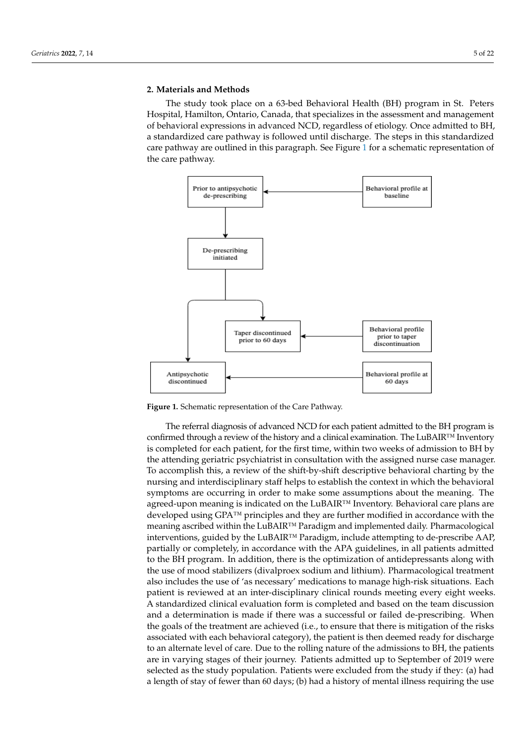The study took place on a 63-bed Behavioral Health (BH) program in St. Peters Hospital, Hamilton, Ontario, Canada, that specializes in the assessment and management of behavioral expressions in advanced NCD, regardless of etiology. Once admitted to BH, a standardized care pathway is followed until discharge. The steps in this standardized care pathway are outlined in this paragraph. See Figure [1](#page-4-0) for a schematic representation of the care pathway.

<span id="page-4-0"></span>

**Figure 1.** Schematic representation of the Care Pathway. **Figure 1.** Schematic representation of the Care Pathway.

The referral diagnosis of advanced NCD for each patient admitted to the BH program The referral diagnosis of advanced NCD for each patient admitted to the BH program is confirmed through a review of the history and a clinical examination. The LuBAIR™ Inventory is completed for each patient, for the first time, within two weeks of admission to BH by the attending geriatric psychiatrist in consultation with the assigned nurse case manager. manager. To accomplish this, a review of the shift-by-shift descriptive behavioral charting To accomplish this, a review of the shift-by-shift descriptive behavioral charting by the nursing and interdisciplinary staff helps to establish the context in which the behavioral symptoms are occurring in order to make some assumptions about the meaning. The agreed-upon meaning is indicated on the LuBAIR™ Inventory. Behavioral care plans are developed using GPA™ principles and they are further modified in accordance with the meaning ascribed within the LuBAIR™ Paradigm and implemented daily. Pharmacological interventions, guided by the  $\text{LuBAIR}{}^{\scriptscriptstyle \text{TM}}$  Paradigm, include attempting to de-prescribe AAP, partially or completely, in accordance with the APA guidelines, in all patients admitted to the BH program. In addition, there is the optimization of antidepressants along with the use of mood stabilizers (divalproex sodium and lithium). Pharmacological treatment also includes the use of 'as necessary' medications to manage high-risk situations. Each patient is reviewed at an inter-disciplinary clinical rounds meeting every eight weeks. A standardized clinical evaluation form is completed and based on the team discussion and a determination is made if there was a successful or failed de-prescribing. When the goals of the treatment are achieved (i.e., to ensure that there is mitigation of the risks associated with each behavioral category), the patient is then deemed ready for discharge to an alternate level of care. Due to the rolling nature of the admissions to BH, the patients are in varying stages of their journey. Patients admitted up to September of 2019 were selected as the study population. Patients were excluded from the study if they: (a) had a length of stay of fewer than 60 days; (b) had a history of mental illness requiring the use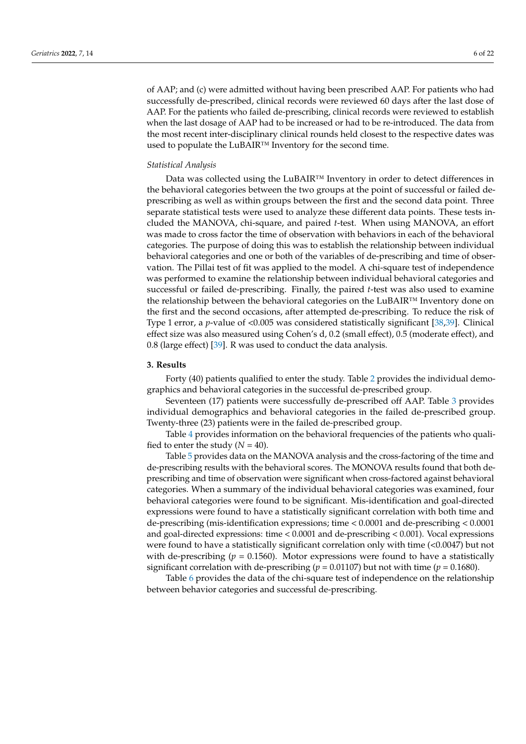of AAP; and (c) were admitted without having been prescribed AAP. For patients who had successfully de-prescribed, clinical records were reviewed 60 days after the last dose of AAP. For the patients who failed de-prescribing, clinical records were reviewed to establish when the last dosage of AAP had to be increased or had to be re-introduced. The data from the most recent inter-disciplinary clinical rounds held closest to the respective dates was used to populate the LuBAIR™ Inventory for the second time.

#### *Statistical Analysis*

Data was collected using the LuBAIR™ Inventory in order to detect differences in the behavioral categories between the two groups at the point of successful or failed deprescribing as well as within groups between the first and the second data point. Three separate statistical tests were used to analyze these different data points. These tests included the MANOVA, chi-square, and paired *t*-test. When using MANOVA, an effort was made to cross factor the time of observation with behaviors in each of the behavioral categories. The purpose of doing this was to establish the relationship between individual behavioral categories and one or both of the variables of de-prescribing and time of observation. The Pillai test of fit was applied to the model. A chi-square test of independence was performed to examine the relationship between individual behavioral categories and successful or failed de-prescribing. Finally, the paired *t*-test was also used to examine the relationship between the behavioral categories on the LuBAIR™ Inventory done on the first and the second occasions, after attempted de-prescribing. To reduce the risk of Type 1 error, a *p*-value of <0.005 was considered statistically significant [\[38,](#page-20-0)[39\]](#page-20-1). Clinical effect size was also measured using Cohen's d, 0.2 (small effect), 0.5 (moderate effect), and 0.8 (large effect) [\[39\]](#page-20-1). R was used to conduct the data analysis.

## **3. Results**

Forty (40) patients qualified to enter the study. Table [2](#page-6-0) provides the individual demographics and behavioral categories in the successful de-prescribed group.

Seventeen (17) patients were successfully de-prescribed off AAP. Table [3](#page-8-0) provides individual demographics and behavioral categories in the failed de-prescribed group. Twenty-three (23) patients were in the failed de-prescribed group.

Table [4](#page-9-0) provides information on the behavioral frequencies of the patients who qualified to enter the study  $(N = 40)$ .

Table [5](#page-10-0) provides data on the MANOVA analysis and the cross-factoring of the time and de-prescribing results with the behavioral scores. The MONOVA results found that both deprescribing and time of observation were significant when cross-factored against behavioral categories. When a summary of the individual behavioral categories was examined, four behavioral categories were found to be significant. Mis-identification and goal-directed expressions were found to have a statistically significant correlation with both time and de-prescribing (mis-identification expressions; time < 0.0001 and de-prescribing < 0.0001 and goal-directed expressions: time < 0.0001 and de-prescribing < 0.001). Vocal expressions were found to have a statistically significant correlation only with time (<0.0047) but not with de-prescribing ( $p = 0.1560$ ). Motor expressions were found to have a statistically significant correlation with de-prescribing ( $p = 0.01107$ ) but not with time ( $p = 0.1680$ ).

Table [6](#page-10-1) provides the data of the chi-square test of independence on the relationship between behavior categories and successful de-prescribing.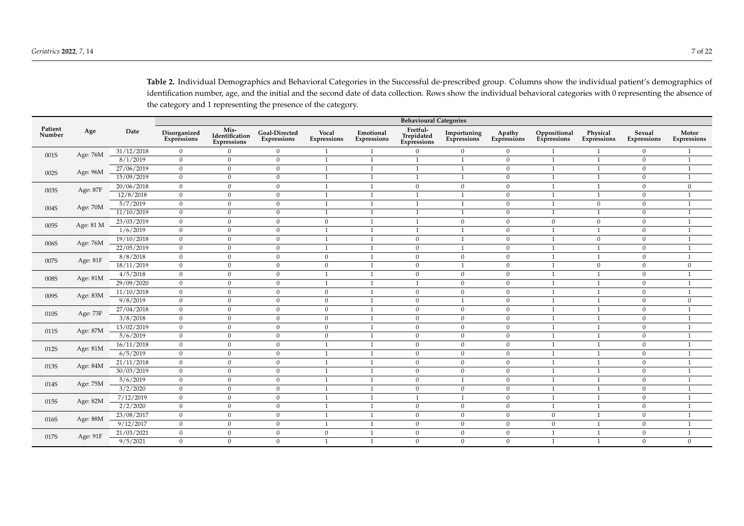<span id="page-6-0"></span>

|                   |            |                | <b>Behavioural Categories</b> |                                       |                              |                      |                          |                                       |                            |                       |                             |                         |                       |                      |
|-------------------|------------|----------------|-------------------------------|---------------------------------------|------------------------------|----------------------|--------------------------|---------------------------------------|----------------------------|-----------------------|-----------------------------|-------------------------|-----------------------|----------------------|
| Patient<br>Number | Age        | Date           | Disorganized<br>Expressions   | Mis-<br>Identification<br>Expressions | Goal-Directed<br>Expressions | Vocal<br>Expressions | Emotional<br>Expressions | Fretful-<br>Trepidated<br>Expressions | Importuning<br>Expressions | Apathy<br>Expressions | Oppositional<br>Expressions | Physical<br>Expressions | Sexual<br>Expressions | Motor<br>Expressions |
| 001S              | Age: 76M   | 31/12/2018     | $\overline{0}$                | $\Omega$                              | $\mathbf{0}$                 | $\mathbf{1}$         | 1                        | $\Omega$                              | $\mathbf{0}$               | $\mathbf{0}$          | $\mathbf{1}$                | $\mathbf{1}$            | $\overline{0}$        | 1                    |
|                   |            | 8/1/2019       | $\overline{0}$                | $\overline{0}$                        | $\overline{0}$               | $\mathbf{1}$         | $\mathbf{1}$             | $\mathbf{1}$                          | $\mathbf{1}$               | $\mathbf{0}$          | $\mathbf{1}$                | 1                       | $\mathbf{0}$          | $\mathbf{1}$         |
| 002S              | Age: 96M   | 27/06/2019     | $\overline{0}$                | $\mathbf{0}$                          | $\overline{0}$               | 1                    | $\mathbf{1}$             | 1                                     | -1                         | $\mathbf{0}$          | 1                           | 1                       | $\overline{0}$        | 1                    |
|                   |            | 15/09/2019     | $\overline{0}$                | $\mathbf{0}$                          | $\overline{0}$               | $\mathbf{1}$         | $\mathbf{1}$             | $\mathbf{1}$                          | $\mathbf{1}$               | $\mathbf{0}$          | $\mathbf{1}$                | $\mathbf{1}$            | $\overline{0}$        | $\mathbf{1}$         |
| 003S              | Age: 87F   | 20/06/2018     | $\mathbf{0}$                  | $\mathbf{0}$                          | $\mathbf{0}$                 | 1                    | 1                        | $\mathbf{0}$                          | $\mathbf{0}$               | $\mathbf{0}$          | 1                           | 1                       | $\overline{0}$        | $\overline{0}$       |
|                   |            | 12/8/2018      | $\overline{0}$                | $\mathbf{0}$                          | $\overline{0}$               | $\mathbf{1}$         | 1                        | $\mathbf{1}$                          | $\mathbf{1}$               | $\mathbf{0}$          | $\mathbf{1}$                | $\mathbf{1}$            | $\overline{0}$        | $\mathbf{1}$         |
| 004S              | Age: 70M   | 5/7/2019       | $\overline{0}$                | $\mathbf{0}$                          | $\overline{0}$               | $\mathbf{1}$         | 1                        | $\mathbf{1}$                          | 1                          | $\mathbf{0}$          | $\mathbf{1}$                | $\mathbf{0}$            | $\overline{0}$        | $\mathbf{1}$         |
|                   | 11/10/2019 | $\overline{0}$ | $\mathbf{0}$                  | $\overline{0}$                        | 1                            | 1                    | 1                        | 1                                     | $\overline{0}$             | 1                     | 1                           | $\overline{0}$          | $\mathbf{1}$          |                      |
| 005S              | Age: 81 M  | 23/03/2019     | $\overline{0}$                | $\mathbf{0}$                          | $\overline{0}$               | $\mathbf{0}$         | $\mathbf{1}$             | $\mathbf{1}$                          | $\overline{0}$             | $\overline{0}$        | $\overline{0}$              | $\mathbf{0}$            | $\overline{0}$        | $\mathbf{1}$         |
|                   |            | 1/6/2019       | $\overline{0}$                | $\mathbf{0}$                          | $\overline{0}$               | 1                    | 1                        | 1                                     | 1                          | $\overline{0}$        | $\mathbf{1}$                | 1                       | $\overline{0}$        | 1                    |
| 006S              | Age: 76M   | 19/10/2018     | $\mathbf{0}$                  | $\mathbf{0}$                          | $\overline{0}$               | $\mathbf{1}$         | $\mathbf{1}$             | $\mathbf{0}$                          | $\mathbf{1}$               | $\mathbf{0}$          | $\mathbf{1}$                | $\mathbf{0}$            | $\overline{0}$        | $\mathbf{1}$         |
|                   |            | 22/05/2019     | $\overline{0}$                | $\mathbf{0}$                          | $\overline{0}$               | 1                    | 1                        | $\mathbf{0}$                          | 1                          | $\mathbf{0}$          | 1                           | 1                       | $\overline{0}$        | $\mathbf{1}$         |
| 007S              | Age: 81F   | 8/8/2018       | $\mathbf{0}$                  | $\mathbf{0}$                          | $\overline{0}$               | $\mathbf{0}$         | $\mathbf{1}$             | $\mathbf{0}$                          | $\mathbf{0}$               | $\mathbf{0}$          | $\mathbf{1}$                | $\mathbf{1}$            | $\overline{0}$        | $\mathbf{1}$         |
|                   |            | 18/11/2019     | $\overline{0}$                | $\mathbf{0}$                          | $\overline{0}$               | $\mathbf{0}$         | 1                        | $\mathbf{0}$                          | $\overline{1}$             | $\mathbf{0}$          | 1                           | $\overline{0}$          | $\overline{0}$        | $\overline{0}$       |
| 008S              | Age: 81M   | 4/5/2018       | $\mathbf{0}$                  | $\mathbf{0}$                          | $\mathbf{0}$                 | $\mathbf{1}$         | $\mathbf{1}$             | $\mathbf{0}$                          | $\mathbf{0}$               | $\mathbf{0}$          | $\mathbf{1}$                | $\mathbf{1}$            | $\overline{0}$        | $\overline{1}$       |
|                   |            | 29/09/2020     | $\overline{0}$                | $\mathbf{0}$                          | $\overline{0}$               | $\mathbf{1}$         | $\mathbf{1}$             | $\mathbf{1}$                          | $\overline{0}$             | $\mathbf{0}$          | $\mathbf{1}$                | 1                       | $\overline{0}$        | $\mathbf{1}$         |
| 009S              | Age: 83M   | 11/10/2018     | $\overline{0}$                | $\mathbf{0}$                          | $\overline{0}$               | $\mathbf{0}$         | 1                        | $\mathbf{0}$                          | $\overline{0}$             | $\mathbf{0}$          | 1                           | 1                       | $\overline{0}$        | $\mathbf{1}$         |
|                   |            | 9/8/2019       | $\overline{0}$                | $\mathbf{0}$                          | $\overline{0}$               | $\mathbf{0}$         | $\mathbf{1}$             | $\mathbf{0}$                          | $\mathbf{1}$               | $\mathbf{0}$          | $\mathbf{1}$                | 1                       | $\overline{0}$        | $\overline{0}$       |
| 010S              | Age: 73F   | 27/04/2018     | $\overline{0}$                | $\mathbf{0}$                          | $\overline{0}$               | $\mathbf{0}$         | $\mathbf{1}$             | $\mathbf{0}$                          | $\overline{0}$             | $\mathbf{0}$          | $\mathbf{1}$                | 1                       | $\overline{0}$        | $\mathbf{1}$         |
|                   |            | 3/8/2018       | $\overline{0}$                | $\mathbf{0}$                          | $\overline{0}$               | $\mathbf{0}$         | 1                        | $\mathbf{0}$                          | $\overline{0}$             | $\mathbf{0}$          | $\mathbf{1}$                | 1                       | $\overline{0}$        | 1                    |
| 011S              | Age: 87M   | 13/02/2019     | $\overline{0}$                | $\mathbf{0}$                          | $\overline{0}$               | $\mathbf{0}$         | 1                        | $\mathbf{0}$                          | $\overline{0}$             | $\mathbf{0}$          | $\mathbf{1}$                | 1                       | $\overline{0}$        | $\mathbf{1}$         |
|                   |            | 5/6/2019       | $\overline{0}$                | $\mathbf{0}$                          | $\overline{0}$               | $\mathbf{0}$         | 1                        | $\mathbf{0}$                          | $\overline{0}$             | $\overline{0}$        | 1                           | 1                       | $\mathbf{0}$          | $\mathbf{1}$         |
| 012S              | Age: $81M$ | 16/11/2018     | $\overline{0}$                | $\mathbf{0}$                          | $\overline{0}$               | 1                    | $\mathbf{1}$             | $\mathbf{0}$                          | $\overline{0}$             | $\mathbf{0}$          | $\mathbf{1}$                | 1                       | $\overline{0}$        | $\mathbf{1}$         |
|                   |            | 6/5/2019       | $\overline{0}$                | $\mathbf{0}$                          | $\overline{0}$               | 1                    | 1                        | $\mathbf{0}$                          | $\overline{0}$             | $\mathbf{0}$          | $\mathbf{1}$                | $\overline{1}$          | $\overline{0}$        | $\mathbf{1}$         |
| 013S              | Age: 84M   | 21/11/2018     | $\overline{0}$                | $\mathbf{0}$                          | $\overline{0}$               | $\mathbf{1}$         | $\mathbf{1}$             | $\mathbf{0}$                          | $\overline{0}$             | $\mathbf{0}$          | $\mathbf{1}$                | 1                       | $\overline{0}$        | $\mathbf{1}$         |
|                   |            | 30/03/2019     | $\overline{0}$                | $\mathbf{0}$                          | $\overline{0}$               | 1                    | $\mathbf{1}$             | $\mathbf{0}$                          | $\overline{0}$             | $\mathbf{0}$          | $\mathbf{1}$                | 1                       | $\overline{0}$        | $\mathbf{1}$         |
| 014S              | Age: 75M   | 5/6/2019       | $\overline{0}$                | $\mathbf{0}$                          | $\overline{0}$               | 1                    | 1                        | $\mathbf{0}$                          | 1                          | $\mathbf{0}$          | $\mathbf{1}$                | 1                       | $\overline{0}$        | $\mathbf{1}$         |
|                   |            | 3/2/2020       | $\overline{0}$                | $\mathbf{0}$                          | $\overline{0}$               | 1                    | $\mathbf{1}$             | $\boldsymbol{0}$                      | $\mathbf{0}$               | $\mathbf{0}$          | 1                           | 1                       | $\overline{0}$        | $\mathbf{1}$         |
| 015S              | Age: 82M   | 7/12/2019      | $\overline{0}$                | $\mathbf{0}$                          | $\mathbf{0}$                 | 1                    | 1                        | 1                                     | $\mathbf{1}$               | $\mathbf{0}$          | $\mathbf{1}$                | 1                       | $\overline{0}$        | 1                    |
|                   |            | 2/2/2020       | $\overline{0}$                | $\mathbf{0}$                          | $\overline{0}$               | $\mathbf{1}$         | $\mathbf{1}$             | $\mathbf{0}$                          | $\mathbf{0}$               | $\mathbf{0}$          | $\mathbf{1}$                | $\mathbf{1}$            | $\overline{0}$        | 1                    |
| 016S              | Age: 88M   | 23/08/2017     | $\overline{0}$                | $\mathbf{0}$                          | $\mathbf{0}$                 | $\mathbf{1}$         | $\mathbf{1}$             | $\boldsymbol{0}$                      | $\mathbf{0}$               | $\mathbf{0}$          | $\mathbf{0}$                | 1                       | $\overline{0}$        | 1                    |
|                   |            | 9/12/2017      | $\overline{0}$                | $\overline{0}$                        | $\overline{0}$               | $\mathbf{1}$         | $\mathbf{1}$             | $\mathbf{0}$                          | $\overline{0}$             | $\mathbf{0}$          | $\overline{0}$              | $\mathbf{1}$            | $\overline{0}$        |                      |
|                   |            | 21/03/2021     | $\overline{0}$                | $\mathbf{0}$                          | $\mathbf{0}$                 | $\mathbf{0}$         | $\mathbf{1}$             | $\mathbf{0}$                          | $\overline{0}$             | $\overline{0}$        | $\mathbf{1}$                | $\mathbf{1}$            | $\overline{0}$        | $\mathbf{1}$         |
| Age: 91F<br>017S  | 9/5/2021   | $\mathbf{0}$   | $\mathbf{0}$                  | $\mathbf{0}$                          | $\overline{1}$               | $\mathbf{1}$         | $\mathbf{0}$             | $\mathbf{0}$                          | $\overline{0}$             | $\mathbf{1}$          | $\overline{1}$              | $\overline{0}$          | $\overline{0}$        |                      |

**Table 2.** Individual Demographics and Behavioral Categories in the Successful de-prescribed group. Columns show the individual patient's demographics of identification number, age, and the initial and the second date of data collection. Rows show the individual behavioral categories with 0 representing the absence of the category and 1 representing the presence of the category.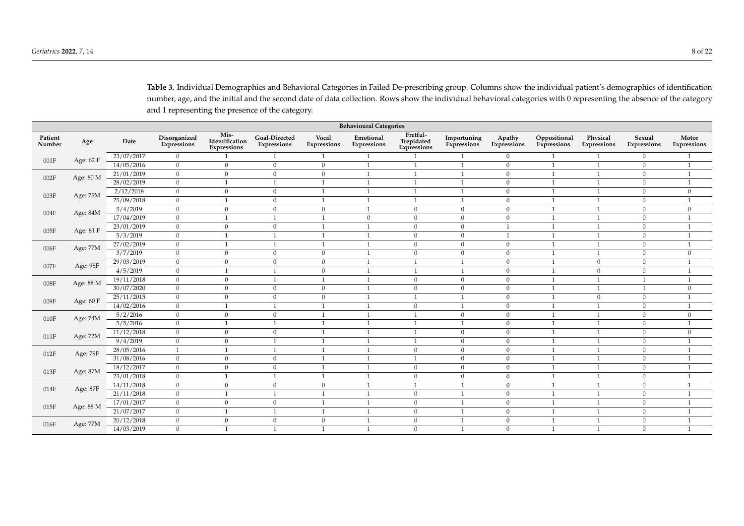**Table 3.** Individual Demographics and Behavioral Categories in Failed De-prescribing group. Columns show the individual patient's demographics of identification number, age, and the initial and the second date of data collection. Rows show the individual behavioral categories with 0 representing the absence of the category and 1 representing the presence of the category.

| <b>Behavioural Categories</b> |            |              |                             |                                       |                              |                      |                          |                                       |                            |                       |                             |                         |                       |                      |
|-------------------------------|------------|--------------|-----------------------------|---------------------------------------|------------------------------|----------------------|--------------------------|---------------------------------------|----------------------------|-----------------------|-----------------------------|-------------------------|-----------------------|----------------------|
| Patient<br>Number             | Age        | Date         | Disorganized<br>Expressions | Mis-<br>Identification<br>Expressions | Goal-Directed<br>Expressions | Vocal<br>Expressions | Emotional<br>Expressions | Fretful-<br>Trepidated<br>Expressions | Importuning<br>Expressions | Apathy<br>Expressions | Oppositional<br>Expressions | Physical<br>Expressions | Sexual<br>Expressions | Motor<br>Expressions |
| 001F                          | Age: 62 F  | 23/07/2017   | $\mathbf{0}$                |                                       | $\mathbf{1}$                 | $\mathbf{1}$         | $\mathbf{1}$             |                                       | $\mathbf{1}$               | $\overline{0}$        | $\overline{1}$              | 1                       | $\overline{0}$        | $\mathbf{1}$         |
|                               |            | 14/05/2016   | $\mathbf{0}$                | $\Omega$                              | $\mathbf{0}$                 | $\mathbf{0}$         |                          | $\overline{1}$                        | $\overline{1}$             | $\mathbf{0}$          | $\overline{1}$              | $\mathbf{1}$            | $\overline{0}$        | $\mathbf{1}$         |
| 002F                          | Age: 80 M  | 21/01/2019   | $\mathbf{0}$                | $\mathbf{0}$                          | $\mathbf{0}$                 | $\boldsymbol{0}$     |                          | $\mathbf{1}$                          | $\mathbf{1}$               | $\mathbf{0}$          | $\overline{1}$              | $\mathbf{1}$            | $\boldsymbol{0}$      | $\mathbf{1}$         |
|                               |            | 28/02/2019   | $\mathbf{0}$                | $\mathbf{1}$                          | $\overline{1}$               |                      |                          | $\mathbf{1}$                          | $\overline{1}$             | $\overline{0}$        | $\overline{1}$              | 1                       | $\overline{0}$        | $\mathbf{1}$         |
| 003F                          | Age: 75M   | 2/12/2018    | $\overline{0}$              | $\overline{0}$                        | $\overline{0}$               | $\mathbf{1}$         | $\mathbf{1}$             | $\mathbf{1}$                          | $\overline{1}$             | $\overline{0}$        | $\overline{1}$              | $\mathbf{1}$            | $\overline{0}$        | $\mathbf{0}$         |
|                               |            | 25/09/2018   | $\overline{0}$              | $\mathbf{1}$                          | $\mathbf{0}$                 | $\mathbf{1}$         | $\mathbf{1}$             | $\mathbf{1}$                          | $\overline{1}$             | $\overline{0}$        | $\overline{1}$              | $\mathbf{1}$            | $\boldsymbol{0}$      | $\mathbf{1}$         |
| 004F                          | Age: 84M   | 5/4/2019     | $\overline{0}$              | $\overline{0}$                        | $\overline{0}$               | $\boldsymbol{0}$     | $\mathbf{1}$             | $\mathbf{0}$                          | $\mathbf{0}$               | $\overline{0}$        | $\mathbf{1}$                | 1                       | $\boldsymbol{0}$      | $\mathbf{0}$         |
|                               |            | 17/04/2019   | $\overline{0}$              | $\overline{1}$                        | $\overline{1}$               | $\mathbf{1}$         | $\Omega$                 | $\mathbf{0}$                          | $\mathbf{0}$               | $\overline{0}$        | $\overline{1}$              | 1                       | $\overline{0}$        | $\overline{1}$       |
| 005F                          | Age: 81 F  | 23/01/2019   | $\mathbf{0}$                | $\mathbf{0}$                          | $\mathbf{0}$                 |                      |                          | $\mathbf{0}$                          | $\mathbf{0}$               | $\overline{1}$        | $\mathbf{1}$                | $\mathbf{1}$            | $\overline{0}$        | $\overline{1}$       |
|                               |            | 5/3/2019     | $\mathbf{0}$                | $\overline{1}$                        | $\overline{1}$               |                      |                          | $\mathbf{0}$                          | $\overline{0}$             | $\overline{1}$        |                             | $\overline{1}$          | $\overline{0}$        |                      |
| 006F                          | Age: 77M   | 27/02/2019   | $\mathbf{0}$                | $\mathbf{1}$                          | $\mathbf{1}$                 | $\mathbf{1}$         |                          | $\mathbf{0}$                          | $\mathbf{0}$               | $\mathbf{0}$          | $\mathbf{1}$                | $\mathbf{1}$            | $\boldsymbol{0}$      | $\mathbf{1}$         |
|                               |            | 3/7/2019     | $\mathbf{0}$                | $\Omega$                              | $\mathbf{0}$                 | $\boldsymbol{0}$     |                          | $\mathbf{0}$                          | $\overline{0}$             | $\mathbf{0}$          | $\mathbf{1}$                | 1                       | $\overline{0}$        | $\boldsymbol{0}$     |
| 007F                          | Age: 98F   | 29/03/2019   | $\mathbf{0}$                | $\overline{0}$                        | $\mathbf{0}$                 | $\boldsymbol{0}$     |                          | $\mathbf{1}$                          | $\overline{1}$             | $\mathbf{0}$          | $\overline{1}$              | $\mathbf{0}$            | $\overline{0}$        | $\mathbf{1}$         |
|                               |            | 4/5/2019     | $\mathbf{0}$                | $\overline{1}$                        | $\overline{1}$               | $\mathbf{0}$         |                          | $\mathbf{1}$                          | $\overline{1}$             | $\mathbf{0}$          | $\overline{1}$              | $\mathbf{0}$            | $\mathbf{0}$          | $\overline{1}$       |
| 008F                          | Age: 88 M  | 19/11/2018   | $\overline{0}$              | $\overline{0}$                        | $\overline{1}$               | $\mathbf{1}$         |                          | $\mathbf{0}$                          | $\mathbf{0}$               | $\overline{0}$        | $\overline{1}$              | 1                       | $\mathbf{1}$          | $\mathbf{1}$         |
|                               |            | 30/07/2020   | $\mathbf{0}$                | $\mathbf{0}$                          | $\overline{0}$               | $\mathbf{0}$         | $\mathbf{1}$             | $\mathbf{0}$                          | $\mathbf{0}$               | $\mathbf{0}$          | $\overline{1}$              | $\mathbf{1}$            | $\mathbf{1}$          | $\mathbf{0}$         |
| 009F                          | Age: 60 F  | 25/11/2015   | $\overline{0}$              | $\mathbf{0}$                          | $\mathbf{0}$                 | $\mathbf{0}$         | $\mathbf{1}$             | $\mathbf{1}$                          | $\overline{1}$             | $\mathbf{0}$          | $\mathbf{1}$                | $\mathbf{0}$            | $\overline{0}$        | $\mathbf{1}$         |
|                               |            | 14/02/2016   | $\overline{0}$              | $\overline{1}$                        | $\overline{1}$               | $\mathbf{1}$         | $\mathbf{1}$             | $\mathbf{0}$                          | $\overline{1}$             | $\overline{0}$        | $\overline{1}$              | $\mathbf{1}$            | $\overline{0}$        | $\mathbf{1}$         |
| $010\mathrm{F}$               | Age: 74M   | 5/2/2016     | $\mathbf{0}$                | $\overline{0}$                        | $\overline{0}$               |                      |                          | $\mathbf{1}$                          | $\mathbf{0}$               | $\overline{0}$        | $\overline{1}$              | $\overline{1}$          | $\overline{0}$        | $\overline{0}$       |
|                               |            | 5/5/2016     | $\mathbf{0}$                | $\mathbf{1}$                          | $\mathbf{1}$                 |                      |                          | $\mathbf{1}$                          | $\mathbf{1}$               | $\mathbf{0}$          | $\mathbf{1}$                | $\mathbf{1}$            | $\overline{0}$        | $\mathbf{1}$         |
| 011F                          | Age: 72M   | 11/12/2018   | $\mathbf{0}$                | $\overline{0}$                        | $\mathbf{0}$                 |                      |                          | $\mathbf{1}$                          | $\mathbf{0}$               | $\overline{0}$        | $\overline{1}$              | $\mathbf{1}$            | $\boldsymbol{0}$      | $\mathbf{0}$         |
|                               |            | 9/4/2019     | $\mathbf{0}$                | $\mathbf{0}$                          | $\mathbf{1}$                 |                      |                          | $\mathbf{1}$                          | $\mathbf{0}$               | $\mathbf{0}$          |                             | $\overline{1}$          | $\overline{0}$        |                      |
| 012F                          | Age: 79F   | 28/05/2016   | $\mathbf{1}$                | $\mathbf{1}$                          | $\mathbf{1}$                 |                      |                          | $\mathbf{0}$                          | $\mathbf{0}$               | $\overline{0}$        | $\overline{1}$              | $\mathbf{1}$            | $\boldsymbol{0}$      |                      |
|                               |            | 31/08/2016   | $\mathbf{0}$                | $\overline{0}$                        | $\mathbf{0}$                 |                      |                          | $\mathbf{1}$                          | $\mathbf{0}$               | $\mathbf{0}$          | $\mathbf{1}$                | $\mathbf{1}$            | $\overline{0}$        |                      |
| 013F                          | Age: 87M   | 18/12/2017   | $\mathbf{0}$                | $\mathbf{0}$                          | $\mathbf{0}$                 |                      |                          | $\mathbf{0}$                          | $\overline{0}$             | $\mathbf{0}$          | $\overline{1}$              | $\overline{1}$          | $\mathbf{0}$          |                      |
|                               |            | 23/01/2018   | $\overline{0}$              | $\overline{1}$                        | $\overline{1}$               |                      |                          | $\mathbf{0}$                          | $\mathbf{0}$               | $\mathbf{0}$          | $\overline{1}$              | $\mathbf{1}$            | $\overline{0}$        | $\mathbf{1}$         |
| 014F                          | Age: 87F   | 14/11/2018   | $\mathbf{0}$                | $\mathbf{0}$                          | $\overline{0}$               | $\mathbf{0}$         | $\mathbf{1}$             | $\mathbf{1}$                          | $\overline{1}$             | $\mathbf{0}$          | $\overline{1}$              | $\mathbf{1}$            | $\overline{0}$        | $\mathbf{1}$         |
|                               |            | 21/11/2018   | $\overline{0}$              | $\mathbf{1}$                          | $\overline{1}$               | $\mathbf{1}$         | $\mathbf{1}$             | $\mathbf{0}$                          | $\overline{1}$             | $\overline{0}$        | $\mathbf{1}$                | 1                       | $\Omega$              | $\mathbf{1}$         |
| 015F                          | Age: 88 M  | 17/01/2017   | $\overline{0}$              | $\mathbf{0}$                          | $\overline{0}$               | $\mathbf{1}$         | $\mathbf{1}$             | $\mathbf{0}$                          | $\overline{1}$             | $\mathbf{0}$          | $\overline{1}$              | $\mathbf{1}$            | $\overline{0}$        | $\overline{1}$       |
|                               |            | 21/07/2017   | $\overline{0}$              | 1                                     | $\overline{1}$               | $\mathbf{1}$         | $\mathbf{1}$             | $\mathbf{0}$                          | $\overline{1}$             | $\overline{0}$        | $\overline{1}$              | $\mathbf{1}$            | $\overline{0}$        | $\overline{1}$       |
| 016F                          | Age: 77M   | 20/12/2018   | $\overline{0}$              | $\overline{0}$                        | $\mathbf{0}$                 | $\overline{0}$       |                          | $\mathbf{0}$                          | $\mathbf{1}$               | $\mathbf{0}$          | $\overline{1}$              | $\mathbf{1}$            | $\overline{0}$        | $\mathbf{1}$         |
|                               | 14/03/2019 | $\mathbf{0}$ | $\overline{1}$              | $\overline{1}$                        |                              |                      | $\mathbf{0}$             | $\overline{1}$                        | $\overline{0}$             | $\overline{1}$        | $\mathbf{1}$                | $\overline{0}$          | $\mathbf{1}$          |                      |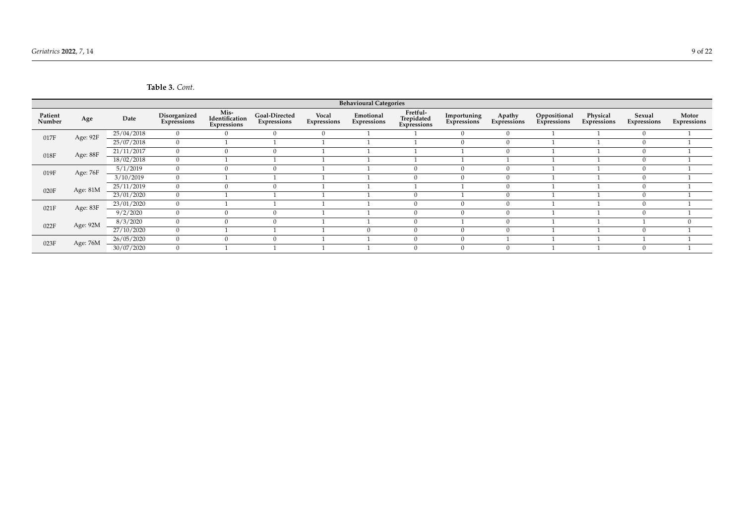| Table 3. Cont. |  |
|----------------|--|
|----------------|--|

<span id="page-8-0"></span>

|                   | <b>Behavioural Categories</b> |            |                             |                                       |                                     |                      |                          |                                       |                            |                       |                             |                         |                       |                      |
|-------------------|-------------------------------|------------|-----------------------------|---------------------------------------|-------------------------------------|----------------------|--------------------------|---------------------------------------|----------------------------|-----------------------|-----------------------------|-------------------------|-----------------------|----------------------|
| Patient<br>Number | Age                           | Date       | Disorganized<br>Expressions | Mis-<br>Identification<br>Expressions | Goal-Directed<br><b>Expressions</b> | Vocal<br>Expressions | Emotional<br>Expressions | Fretful-<br>Trepidated<br>Expressions | Importuning<br>Expressions | Apathy<br>Expressions | Oppositional<br>Expressions | Physical<br>Expressions | Sexual<br>Expressions | Motor<br>Expressions |
| Age: 92F<br>017F  |                               | 25/04/2018 | $\mathbf{0}$                | $\Omega$                              |                                     | $\Omega$             |                          |                                       | $\Omega$                   | $\mathbf{0}$          |                             |                         |                       |                      |
|                   |                               | 25/07/2018 | $\mathbf{0}$                |                                       |                                     |                      |                          |                                       | $\Omega$                   | $\mathbf{0}$          |                             |                         | $\Omega$              |                      |
| Age: 88F<br>018F  |                               | 21/11/2017 | $\mathbf{0}$                |                                       |                                     |                      |                          |                                       |                            | $\Omega$              |                             |                         |                       |                      |
|                   |                               | 18/02/2018 | $\overline{0}$              |                                       |                                     |                      |                          |                                       |                            |                       |                             |                         |                       |                      |
| 019F              | Age: 76F                      | 5/1/2019   | $\Omega$                    |                                       |                                     |                      |                          |                                       |                            | $\Omega$              |                             |                         |                       |                      |
|                   |                               | 3/10/2019  | $\mathbf{0}$                |                                       |                                     |                      |                          | 0                                     | $\Omega$                   | $\Omega$              |                             |                         |                       |                      |
| 020F              | Age: 81M                      | 25/11/2019 | $\mathbf{0}$                |                                       |                                     |                      |                          |                                       |                            | $\overline{0}$        |                             |                         |                       |                      |
|                   |                               | 23/01/2020 | $\mathbf{0}$                |                                       |                                     |                      |                          | $\Omega$                              |                            | $\Omega$              |                             |                         |                       |                      |
| 021F              | Age: 83F                      | 23/01/2020 | $\Omega$                    |                                       |                                     |                      |                          |                                       | $\Omega$                   | $\Omega$              |                             |                         |                       |                      |
|                   |                               | 9/2/2020   | $\mathbf{0}$                |                                       |                                     |                      |                          | $\mathbf{0}$                          | $\Omega$                   | $\Omega$              |                             |                         | $\Omega$              |                      |
| 022F              | Age: 92M                      | 8/3/2020   | $\mathbf{0}$                |                                       |                                     |                      |                          | $\mathbf{0}$                          |                            | $\overline{0}$        |                             |                         |                       |                      |
|                   |                               | 27/10/2020 | $\mathbf{0}$                |                                       |                                     |                      |                          | $\Omega$                              | $\Omega$                   | $\Omega$              |                             |                         |                       |                      |
| 023F              | Age: 76M                      | 26/05/2020 | $\Omega$                    |                                       |                                     |                      |                          |                                       |                            |                       |                             |                         |                       |                      |
|                   |                               | 30/07/2020 | $\mathbf{0}$                |                                       |                                     |                      |                          | 0                                     | $\Omega$                   | $\Omega$              |                             |                         | $\Omega$              |                      |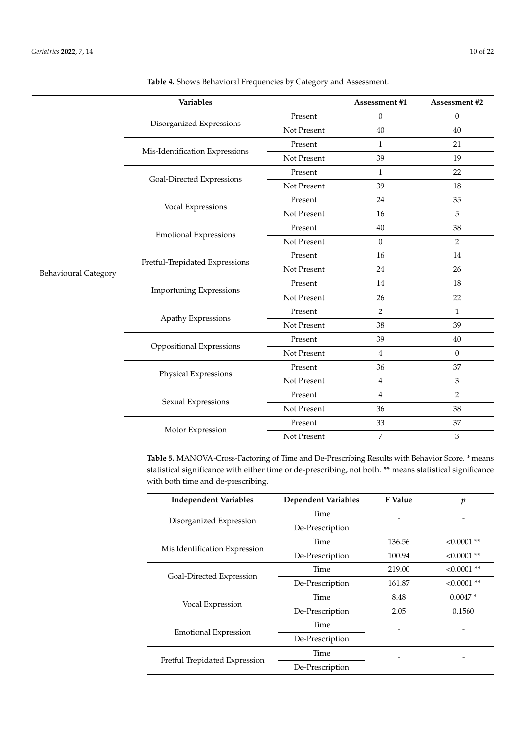|                             | Variables                      |             | Assessment #1    | Assessment #2  |
|-----------------------------|--------------------------------|-------------|------------------|----------------|
|                             |                                | Present     | $\boldsymbol{0}$ | $\mathbf{0}$   |
|                             | Disorganized Expressions       | Not Present | 40               | 40             |
|                             |                                | Present     | $\mathbf{1}$     | 21             |
|                             | Mis-Identification Expressions | Not Present | 39               | 19             |
|                             |                                | Present     | 1                | 22             |
|                             | Goal-Directed Expressions      | Not Present | 39               | 18             |
|                             |                                | Present     | 24               | 35             |
|                             | Vocal Expressions              | Not Present | 16               | 5              |
|                             |                                | Present     | 40               | 38             |
|                             | <b>Emotional Expressions</b>   | Not Present | $\boldsymbol{0}$ | $\overline{2}$ |
|                             |                                | Present     | 16               | 14             |
| <b>Behavioural Category</b> | Fretful-Trepidated Expressions | Not Present | 24               | 26             |
|                             | <b>Importuning Expressions</b> | Present     | 14               | 18             |
|                             |                                | Not Present | 26               | 22             |
|                             | Apathy Expressions             | Present     | $\overline{2}$   | $\mathbf{1}$   |
|                             |                                | Not Present | 38               | 39             |
|                             | Oppositional Expressions       | Present     | 39               | 40             |
|                             |                                | Not Present | 4                | $\theta$       |
|                             | Physical Expressions           | Present     | 36               | 37             |
|                             |                                | Not Present | $\overline{4}$   | 3              |
|                             | Sexual Expressions             | Present     | $\overline{4}$   | $\overline{2}$ |
|                             |                                | Not Present | 36               | 38             |
|                             | Motor Expression               | Present     | 33               | 37             |
|                             |                                | Not Present | 7                | 3              |

<span id="page-9-0"></span>**Table 4.** Shows Behavioral Frequencies by Category and Assessment.

**Table 5.** MANOVA-Cross-Factoring of Time and De-Prescribing Results with Behavior Score. \* means statistical significance with either time or de-prescribing, not both. \*\* means statistical significance with both time and de-prescribing.

| <b>Independent Variables</b>  | <b>Dependent Variables</b> | <b>F</b> Value | p           |
|-------------------------------|----------------------------|----------------|-------------|
|                               | Time                       |                |             |
| Disorganized Expression       | De-Prescription            |                |             |
|                               | Time                       | 136.56         | $<0.0001**$ |
| Mis Identification Expression | De-Prescription            | 100.94         | $<0.0001**$ |
|                               | Time                       | 219.00         | $<0.0001**$ |
| Goal-Directed Expression      | De-Prescription            | 161.87         | $<0.0001**$ |
|                               | Time                       | 8.48           | $0.0047*$   |
| Vocal Expression              | De-Prescription            | 2.05           | 0.1560      |
|                               | Time                       |                |             |
| <b>Emotional Expression</b>   | De-Prescription            |                |             |
|                               | Time                       |                |             |
| Fretful Trepidated Expression | De-Prescription            |                |             |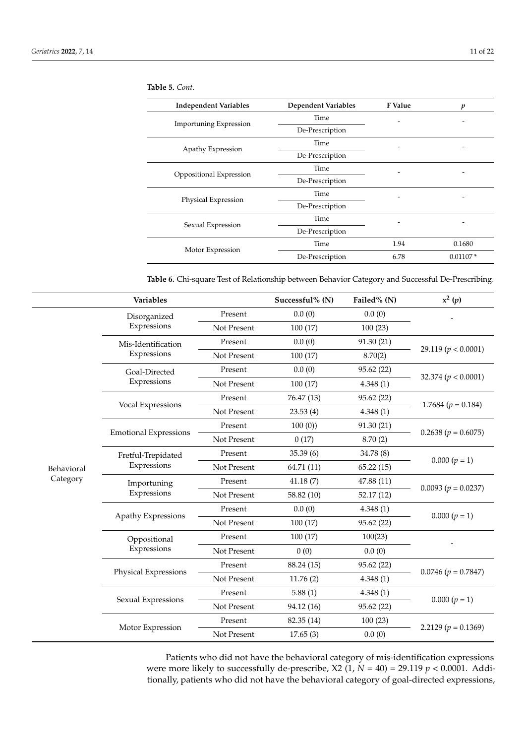| <b>Independent Variables</b>  | <b>Dependent Variables</b> | F Value | p          |
|-------------------------------|----------------------------|---------|------------|
|                               | Time                       |         |            |
| <b>Importuning Expression</b> | De-Prescription            |         |            |
|                               | Time                       |         |            |
| Apathy Expression             | De-Prescription            |         |            |
|                               | Time                       |         |            |
| Oppositional Expression       | De-Prescription            |         |            |
|                               | Time                       |         |            |
| Physical Expression           | De-Prescription            |         |            |
|                               | Time                       |         |            |
| Sexual Expression             | De-Prescription            |         |            |
|                               | Time                       | 1.94    | 0.1680     |
| Motor Expression              | De-Prescription            | 6.78    | $0.01107*$ |

<span id="page-10-0"></span>**Table 5.** *Cont.*

<span id="page-10-1"></span>**Table 6.** Chi-square Test of Relationship between Behavior Category and Successful De-Prescribing.

|            | Variables                    |             | Successful% (N) | Failed% (N) | $x^2(p)$                |
|------------|------------------------------|-------------|-----------------|-------------|-------------------------|
|            | Disorganized                 | Present     | 0.0(0)          | 0.0(0)      |                         |
|            | Expressions                  | Not Present | 100(17)         | 100(23)     |                         |
|            | Mis-Identification           | Present     | 0.0(0)          | 91.30(21)   |                         |
|            | Expressions                  | Not Present | 100(17)         | 8.70(2)     | 29.119 ( $p < 0.0001$ ) |
|            | Goal-Directed                | Present     | 0.0(0)          | 95.62 (22)  | 32.374 ( $p < 0.0001$ ) |
|            | Expressions                  | Not Present | 100(17)         | 4.348(1)    |                         |
|            |                              | Present     | 76.47 (13)      | 95.62 (22)  | 1.7684 $(p = 0.184)$    |
|            | Vocal Expressions            | Not Present | 23.53(4)        | 4.348(1)    |                         |
|            |                              | Present     | 100(0)          | 91.30 (21)  | $0.2638 (p = 0.6075)$   |
|            | <b>Emotional Expressions</b> | Not Present | 0(17)           | 8.70(2)     |                         |
|            | Fretful-Trepidated           | Present     | 35.39(6)        | 34.78 (8)   | $0.000 (p = 1)$         |
| Behavioral | Expressions                  | Not Present | 64.71 (11)      | 65.22(15)   |                         |
| Category   | Importuning                  | Present     | 41.18(7)        | 47.88 (11)  | $0.0093 (p = 0.0237)$   |
|            | Expressions                  | Not Present | 58.82 (10)      | 52.17(12)   |                         |
|            | Apathy Expressions           | Present     | 0.0(0)          | 4.348(1)    | $0.000 (p = 1)$         |
|            |                              | Not Present | 100(17)         | 95.62 (22)  |                         |
|            | Oppositional                 | Present     | 100(17)         | 100(23)     |                         |
|            | Expressions                  | Not Present | 0(0)            | 0.0(0)      |                         |
|            | Physical Expressions         | Present     | 88.24 (15)      | 95.62 (22)  | $0.0746 (p = 0.7847)$   |
|            |                              | Not Present | 11.76(2)        | 4.348(1)    |                         |
|            | Sexual Expressions           | Present     | 5.88(1)         | 4.348(1)    | $0.000 (p = 1)$         |
|            |                              | Not Present | 94.12 (16)      | 95.62 (22)  |                         |
|            |                              | Present     | 82.35 (14)      | 100(23)     |                         |
|            | Motor Expression             | Not Present | 17.65(3)        | 0.0(0)      | 2.2129 $(p = 0.1369)$   |

Patients who did not have the behavioral category of mis-identification expressions were more likely to successfully de-prescribe, X2 (1, *N* = 40) = 29.119 *p* < 0.0001. Additionally, patients who did not have the behavioral category of goal-directed expressions,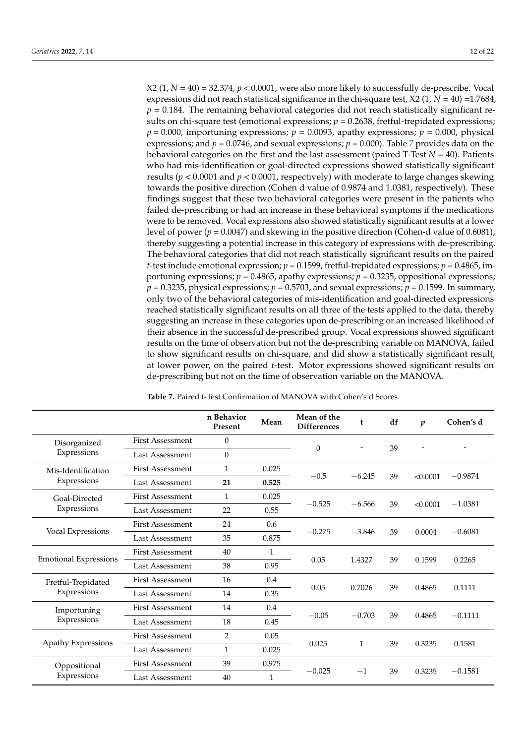$X2$  (1,  $N = 40$ ) = 32.374,  $p < 0.0001$ , were also more likely to successfully de-prescribe. Vocal expressions did not reach statistical significance in the chi-square test,  $X2$  (1,  $N = 40$ ) =1.7684,  $p = 0.184$ . The remaining behavioral categories did not reach statistically significant results on chi-square test (emotional expressions;  $p = 0.2638$ , fretful-trepidated expressions;  $p = 0.000$ , importuning expressions;  $p = 0.0093$ , apathy expressions;  $p = 0.000$ , physical expressions; and  $p = 0.0746$  $p = 0.0746$  $p = 0.0746$ , and sexual expressions;  $p = 0.000$ ). Table 7 provides data on the behavioral categories on the first and the last assessment (paired T-Test *N* = 40). Patients who had mis-identification or goal-directed expressions showed statistically significant results (*p* < 0.0001 and *p* < 0.0001, respectively) with moderate to large changes skewing towards the positive direction (Cohen d value of 0.9874 and 1.0381, respectively). These findings suggest that these two behavioral categories were present in the patients who failed de-prescribing or had an increase in these behavioral symptoms if the medications were to be removed. Vocal expressions also showed statistically significant results at a lower level of power (*p* = 0.0047) and skewing in the positive direction (Cohen-d value of 0.6081), thereby suggesting a potential increase in this category of expressions with de-prescribing. The behavioral categories that did not reach statistically significant results on the paired *t*-test include emotional expression;  $p = 0.1599$ , fretful-trepidated expressions;  $p = 0.4865$ , importuning expressions;  $p = 0.4865$ , apathy expressions;  $p = 0.3235$ , oppositional expressions;  $p = 0.3235$ , physical expressions;  $p = 0.5703$ , and sexual expressions;  $p = 0.1599$ . In summary, only two of the behavioral categories of mis-identification and goal-directed expressions reached statistically significant results on all three of the tests applied to the data, thereby suggesting an increase in these categories upon de-prescribing or an increased likelihood of their absence in the successful de-prescribed group. Vocal expressions showed significant results on the time of observation but not the de-prescribing variable on MANOVA, failed to show significant results on chi-square, and did show a statistically significant result, at lower power, on the paired *t*-test. Motor expressions showed significant results on de-prescribing but not on the time of observation variable on the MANOVA.

|                              |                         | n Behavior<br>Present | Mean         | Mean of the<br><b>Differences</b> | t        | df | $\boldsymbol{p}$ | Cohen's d |
|------------------------------|-------------------------|-----------------------|--------------|-----------------------------------|----------|----|------------------|-----------|
| Disorganized                 | <b>First Assessment</b> | $\theta$              |              |                                   |          |    |                  |           |
| Expressions                  | Last Assessment         | $\theta$              |              | $\mathbf{0}$                      |          | 39 |                  |           |
| Mis-Identification           | First Assessment        | $\mathbf{1}$          | 0.025        |                                   |          |    |                  |           |
| Expressions                  | Last Assessment         | 21                    | 0.525        | $-0.5$                            | $-6.245$ | 39 | < 0.0001         | $-0.9874$ |
| Goal-Directed<br>Expressions | <b>First Assessment</b> | $\mathbf{1}$          | 0.025        |                                   |          | 39 | < 0.0001         |           |
|                              | Last Assessment         | 22                    | 0.55         | $-0.525$                          | $-6.566$ |    |                  | $-1.0381$ |
| Vocal Expressions            | <b>First Assessment</b> | 24                    | 0.6          |                                   |          |    | 0.0004           |           |
|                              | Last Assessment         | 35                    | 0.875        | $-0.275$                          | $-3.846$ | 39 |                  | $-0.6081$ |
|                              | <b>First Assessment</b> | 40                    | 1            |                                   |          | 39 | 0.1599           | 0.2265    |
| <b>Emotional Expressions</b> | Last Assessment         | 38                    | 0.95         | 0.05                              | 1.4327   |    |                  |           |
| Fretful-Trepidated           | <b>First Assessment</b> | 16                    | 0.4          |                                   |          |    |                  |           |
| Expressions                  | Last Assessment         | 14                    | 0.35         | 0.05                              | 0.7026   | 39 | 0.4865           | 0.1111    |
| Importuning                  | First Assessment        | 14                    | $0.4\,$      |                                   |          | 39 |                  |           |
| Expressions                  | Last Assessment         | 18                    | 0.45         | $-0.05$                           | $-0.703$ |    | 0.4865           | $-0.1111$ |
| Apathy Expressions           | <b>First Assessment</b> | 2                     | 0.05         |                                   |          |    |                  |           |
|                              | Last Assessment         | $\mathbf{1}$          | 0.025        | 0.025                             | 1        | 39 | 0.3235           | 0.1581    |
| Oppositional                 | <b>First Assessment</b> | 39                    | 0.975        |                                   |          |    | 0.3235           |           |
| Expressions                  | <b>Last Assessment</b>  | 40                    | $\mathbf{1}$ | $-0.025$                          | $-1$     | 39 |                  | $-0.1581$ |

**Table 7.** Paired t-Test Confirmation of MANOVA with Cohen's d Scores.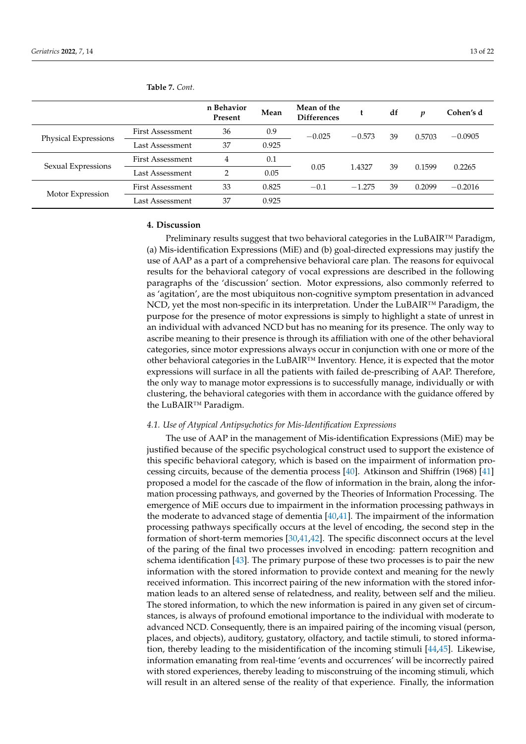|                      |                         | n Behavior<br>Present | Mean  | Mean of the<br><b>Differences</b> |          | df | n      | Cohen's d |
|----------------------|-------------------------|-----------------------|-------|-----------------------------------|----------|----|--------|-----------|
| Physical Expressions | <b>First Assessment</b> | 36                    | 0.9   | $-0.025$                          | $-0.573$ | 39 | 0.5703 | $-0.0905$ |
|                      | Last Assessment         | 37                    | 0.925 |                                   |          |    |        |           |
| Sexual Expressions   | <b>First Assessment</b> | 4                     | 0.1   |                                   |          | 39 | 0.1599 |           |
|                      | Last Assessment         | $\overline{2}$        | 0.05  | 0.05                              | 1.4327   |    |        | 0.2265    |
|                      | <b>First Assessment</b> | 33                    | 0.825 | $-0.1$                            | $-1.275$ | 39 | 0.2099 | $-0.2016$ |
| Motor Expression     | Last Assessment         | 37                    | 0.925 |                                   |          |    |        |           |

<span id="page-12-0"></span>**Table 7.** *Cont.*

#### **4. Discussion**

Preliminary results suggest that two behavioral categories in the LuBAIR™ Paradigm, (a) Mis-identification Expressions (MiE) and (b) goal-directed expressions may justify the use of AAP as a part of a comprehensive behavioral care plan. The reasons for equivocal results for the behavioral category of vocal expressions are described in the following paragraphs of the 'discussion' section. Motor expressions, also commonly referred to as 'agitation', are the most ubiquitous non-cognitive symptom presentation in advanced NCD, yet the most non-specific in its interpretation. Under the LuBAIR™ Paradigm, the purpose for the presence of motor expressions is simply to highlight a state of unrest in an individual with advanced NCD but has no meaning for its presence. The only way to ascribe meaning to their presence is through its affiliation with one of the other behavioral categories, since motor expressions always occur in conjunction with one or more of the other behavioral categories in the  $LuBAIR^{TM}$  Inventory. Hence, it is expected that the motor expressions will surface in all the patients with failed de-prescribing of AAP. Therefore, the only way to manage motor expressions is to successfully manage, individually or with clustering, the behavioral categories with them in accordance with the guidance offered by the LuBAIR™ Paradigm.

## *4.1. Use of Atypical Antipsychotics for Mis-Identification Expressions*

The use of AAP in the management of Mis-identification Expressions (MiE) may be justified because of the specific psychological construct used to support the existence of this specific behavioral category, which is based on the impairment of information processing circuits, because of the dementia process [\[40\]](#page-20-2). Atkinson and Shiffrin (1968) [\[41\]](#page-20-3) proposed a model for the cascade of the flow of information in the brain, along the information processing pathways, and governed by the Theories of Information Processing. The emergence of MiE occurs due to impairment in the information processing pathways in the moderate to advanced stage of dementia  $[40,41]$  $[40,41]$ . The impairment of the information processing pathways specifically occurs at the level of encoding, the second step in the formation of short-term memories [\[30,](#page-19-19)[41,](#page-20-3)[42\]](#page-20-4). The specific disconnect occurs at the level of the paring of the final two processes involved in encoding: pattern recognition and schema identification [\[43\]](#page-20-5). The primary purpose of these two processes is to pair the new information with the stored information to provide context and meaning for the newly received information. This incorrect pairing of the new information with the stored information leads to an altered sense of relatedness, and reality, between self and the milieu. The stored information, to which the new information is paired in any given set of circumstances, is always of profound emotional importance to the individual with moderate to advanced NCD. Consequently, there is an impaired pairing of the incoming visual (person, places, and objects), auditory, gustatory, olfactory, and tactile stimuli, to stored information, thereby leading to the misidentification of the incoming stimuli [\[44](#page-20-6)[,45\]](#page-20-7). Likewise, information emanating from real-time 'events and occurrences' will be incorrectly paired with stored experiences, thereby leading to misconstruing of the incoming stimuli, which will result in an altered sense of the reality of that experience. Finally, the information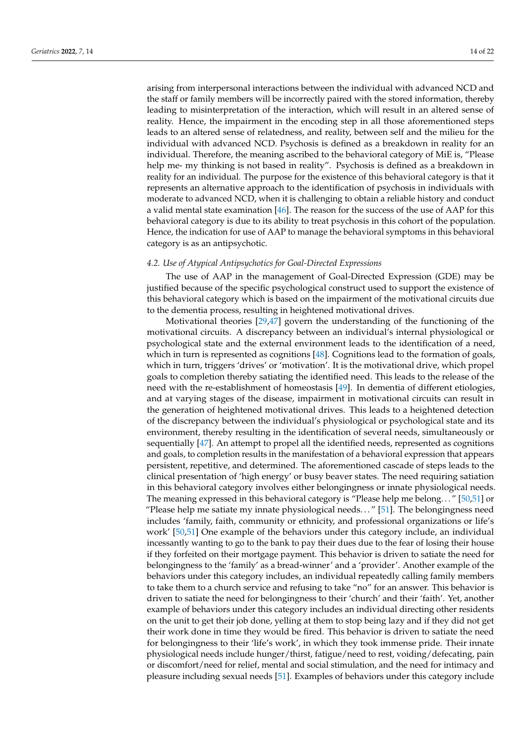arising from interpersonal interactions between the individual with advanced NCD and the staff or family members will be incorrectly paired with the stored information, thereby leading to misinterpretation of the interaction, which will result in an altered sense of reality. Hence, the impairment in the encoding step in all those aforementioned steps leads to an altered sense of relatedness, and reality, between self and the milieu for the individual with advanced NCD. Psychosis is defined as a breakdown in reality for an individual. Therefore, the meaning ascribed to the behavioral category of MiE is, "Please help me- my thinking is not based in reality". Psychosis is defined as a breakdown in reality for an individual. The purpose for the existence of this behavioral category is that it represents an alternative approach to the identification of psychosis in individuals with moderate to advanced NCD, when it is challenging to obtain a reliable history and conduct a valid mental state examination  $[46]$ . The reason for the success of the use of AAP for this behavioral category is due to its ability to treat psychosis in this cohort of the population. Hence, the indication for use of AAP to manage the behavioral symptoms in this behavioral category is as an antipsychotic.

#### *4.2. Use of Atypical Antipsychotics for Goal-Directed Expressions*

The use of AAP in the management of Goal-Directed Expression (GDE) may be justified because of the specific psychological construct used to support the existence of this behavioral category which is based on the impairment of the motivational circuits due to the dementia process, resulting in heightened motivational drives.

Motivational theories [\[29](#page-19-18)[,47\]](#page-20-9) govern the understanding of the functioning of the motivational circuits. A discrepancy between an individual's internal physiological or psychological state and the external environment leads to the identification of a need, which in turn is represented as cognitions [\[48\]](#page-20-10). Cognitions lead to the formation of goals, which in turn, triggers 'drives' or 'motivation'. It is the motivational drive, which propel goals to completion thereby satiating the identified need. This leads to the release of the need with the re-establishment of homeostasis [\[49\]](#page-20-11). In dementia of different etiologies, and at varying stages of the disease, impairment in motivational circuits can result in the generation of heightened motivational drives. This leads to a heightened detection of the discrepancy between the individual's physiological or psychological state and its environment, thereby resulting in the identification of several needs, simultaneously or sequentially [\[47\]](#page-20-9). An attempt to propel all the identified needs, represented as cognitions and goals, to completion results in the manifestation of a behavioral expression that appears persistent, repetitive, and determined. The aforementioned cascade of steps leads to the clinical presentation of 'high energy' or busy beaver states. The need requiring satiation in this behavioral category involves either belongingness or innate physiological needs. The meaning expressed in this behavioral category is "Please help me belong. . . " [\[50,](#page-20-12)[51\]](#page-20-13) or "Please help me satiate my innate physiological needs. . . " [\[51\]](#page-20-13). The belongingness need includes 'family, faith, community or ethnicity, and professional organizations or life's work' [\[50](#page-20-12)[,51\]](#page-20-13) One example of the behaviors under this category include, an individual incessantly wanting to go to the bank to pay their dues due to the fear of losing their house if they forfeited on their mortgage payment. This behavior is driven to satiate the need for belongingness to the 'family' as a bread-winner' and a 'provider'. Another example of the behaviors under this category includes, an individual repeatedly calling family members to take them to a church service and refusing to take "no" for an answer. This behavior is driven to satiate the need for belongingness to their 'church' and their 'faith'. Yet, another example of behaviors under this category includes an individual directing other residents on the unit to get their job done, yelling at them to stop being lazy and if they did not get their work done in time they would be fired. This behavior is driven to satiate the need for belongingness to their 'life's work', in which they took immense pride. Their innate physiological needs include hunger/thirst, fatigue/need to rest, voiding/defecating, pain or discomfort/need for relief, mental and social stimulation, and the need for intimacy and pleasure including sexual needs [\[51\]](#page-20-13). Examples of behaviors under this category include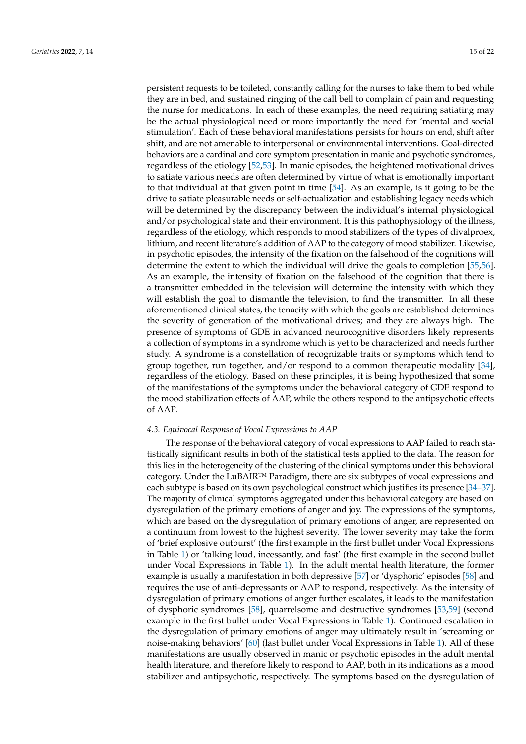persistent requests to be toileted, constantly calling for the nurses to take them to bed while they are in bed, and sustained ringing of the call bell to complain of pain and requesting the nurse for medications. In each of these examples, the need requiring satiating may be the actual physiological need or more importantly the need for 'mental and social stimulation'. Each of these behavioral manifestations persists for hours on end, shift after shift, and are not amenable to interpersonal or environmental interventions. Goal-directed behaviors are a cardinal and core symptom presentation in manic and psychotic syndromes, regardless of the etiology [\[52](#page-20-14)[,53\]](#page-20-15). In manic episodes, the heightened motivational drives to satiate various needs are often determined by virtue of what is emotionally important to that individual at that given point in time [\[54\]](#page-20-16). As an example, is it going to be the drive to satiate pleasurable needs or self-actualization and establishing legacy needs which will be determined by the discrepancy between the individual's internal physiological and/or psychological state and their environment. It is this pathophysiology of the illness, regardless of the etiology, which responds to mood stabilizers of the types of divalproex, lithium, and recent literature's addition of AAP to the category of mood stabilizer. Likewise, in psychotic episodes, the intensity of the fixation on the falsehood of the cognitions will determine the extent to which the individual will drive the goals to completion [\[55,](#page-20-17)[56\]](#page-20-18). As an example, the intensity of fixation on the falsehood of the cognition that there is a transmitter embedded in the television will determine the intensity with which they will establish the goal to dismantle the television, to find the transmitter. In all these aforementioned clinical states, the tenacity with which the goals are established determines the severity of generation of the motivational drives; and they are always high. The presence of symptoms of GDE in advanced neurocognitive disorders likely represents a collection of symptoms in a syndrome which is yet to be characterized and needs further study. A syndrome is a constellation of recognizable traits or symptoms which tend to group together, run together, and/or respond to a common therapeutic modality [\[34\]](#page-19-23), regardless of the etiology. Based on these principles, it is being hypothesized that some of the manifestations of the symptoms under the behavioral category of GDE respond to the mood stabilization effects of AAP, while the others respond to the antipsychotic effects of AAP.

#### *4.3. Equivocal Response of Vocal Expressions to AAP*

The response of the behavioral category of vocal expressions to AAP failed to reach statistically significant results in both of the statistical tests applied to the data. The reason for this lies in the heterogeneity of the clustering of the clinical symptoms under this behavioral category. Under the LuBAIR™ Paradigm, there are six subtypes of vocal expressions and each subtype is based on its own psychological construct which justifies its presence [\[34](#page-19-23)[–37\]](#page-19-25). The majority of clinical symptoms aggregated under this behavioral category are based on dysregulation of the primary emotions of anger and joy. The expressions of the symptoms, which are based on the dysregulation of primary emotions of anger, are represented on a continuum from lowest to the highest severity. The lower severity may take the form of 'brief explosive outburst' (the first example in the first bullet under Vocal Expressions in Table [1\)](#page-3-0) or 'talking loud, incessantly, and fast' (the first example in the second bullet under Vocal Expressions in Table [1\)](#page-3-0). In the adult mental health literature, the former example is usually a manifestation in both depressive [\[57\]](#page-20-19) or 'dysphoric' episodes [\[58\]](#page-20-20) and requires the use of anti-depressants or AAP to respond, respectively. As the intensity of dysregulation of primary emotions of anger further escalates, it leads to the manifestation of dysphoric syndromes [\[58\]](#page-20-20), quarrelsome and destructive syndromes [\[53,](#page-20-15)[59\]](#page-20-21) (second example in the first bullet under Vocal Expressions in Table [1\)](#page-3-0). Continued escalation in the dysregulation of primary emotions of anger may ultimately result in 'screaming or noise-making behaviors' [\[60\]](#page-20-22) (last bullet under Vocal Expressions in Table [1\)](#page-3-0). All of these manifestations are usually observed in manic or psychotic episodes in the adult mental health literature, and therefore likely to respond to AAP, both in its indications as a mood stabilizer and antipsychotic, respectively. The symptoms based on the dysregulation of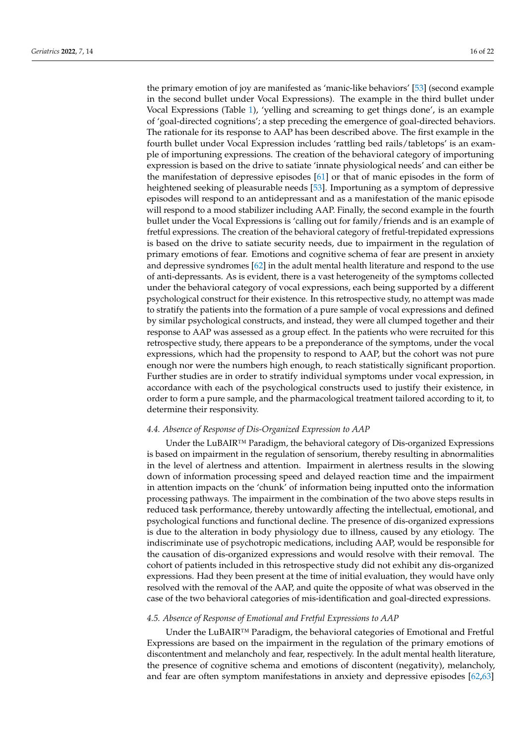the primary emotion of joy are manifested as 'manic-like behaviors' [\[53\]](#page-20-15) (second example in the second bullet under Vocal Expressions). The example in the third bullet under Vocal Expressions (Table [1\)](#page-3-0), 'yelling and screaming to get things done', is an example of 'goal-directed cognitions'; a step preceding the emergence of goal-directed behaviors. The rationale for its response to AAP has been described above. The first example in the fourth bullet under Vocal Expression includes 'rattling bed rails/tabletops' is an example of importuning expressions. The creation of the behavioral category of importuning expression is based on the drive to satiate 'innate physiological needs' and can either be the manifestation of depressive episodes [\[61\]](#page-20-23) or that of manic episodes in the form of heightened seeking of pleasurable needs [\[53\]](#page-20-15). Importuning as a symptom of depressive episodes will respond to an antidepressant and as a manifestation of the manic episode will respond to a mood stabilizer including AAP. Finally, the second example in the fourth bullet under the Vocal Expressions is 'calling out for family/friends and is an example of fretful expressions. The creation of the behavioral category of fretful-trepidated expressions is based on the drive to satiate security needs, due to impairment in the regulation of primary emotions of fear. Emotions and cognitive schema of fear are present in anxiety and depressive syndromes [\[62\]](#page-20-24) in the adult mental health literature and respond to the use of anti-depressants. As is evident, there is a vast heterogeneity of the symptoms collected under the behavioral category of vocal expressions, each being supported by a different psychological construct for their existence. In this retrospective study, no attempt was made to stratify the patients into the formation of a pure sample of vocal expressions and defined by similar psychological constructs, and instead, they were all clumped together and their response to AAP was assessed as a group effect. In the patients who were recruited for this retrospective study, there appears to be a preponderance of the symptoms, under the vocal expressions, which had the propensity to respond to AAP, but the cohort was not pure enough nor were the numbers high enough, to reach statistically significant proportion. Further studies are in order to stratify individual symptoms under vocal expression, in accordance with each of the psychological constructs used to justify their existence, in order to form a pure sample, and the pharmacological treatment tailored according to it, to determine their responsivity.

#### *4.4. Absence of Response of Dis-Organized Expression to AAP*

Under the LuBAIR<sup>™</sup> Paradigm, the behavioral category of Dis-organized Expressions is based on impairment in the regulation of sensorium, thereby resulting in abnormalities in the level of alertness and attention. Impairment in alertness results in the slowing down of information processing speed and delayed reaction time and the impairment in attention impacts on the 'chunk' of information being inputted onto the information processing pathways. The impairment in the combination of the two above steps results in reduced task performance, thereby untowardly affecting the intellectual, emotional, and psychological functions and functional decline. The presence of dis-organized expressions is due to the alteration in body physiology due to illness, caused by any etiology. The indiscriminate use of psychotropic medications, including AAP, would be responsible for the causation of dis-organized expressions and would resolve with their removal. The cohort of patients included in this retrospective study did not exhibit any dis-organized expressions. Had they been present at the time of initial evaluation, they would have only resolved with the removal of the AAP, and quite the opposite of what was observed in the case of the two behavioral categories of mis-identification and goal-directed expressions.

## *4.5. Absence of Response of Emotional and Fretful Expressions to AAP*

Under the LuBAIR™ Paradigm, the behavioral categories of Emotional and Fretful Expressions are based on the impairment in the regulation of the primary emotions of discontentment and melancholy and fear, respectively. In the adult mental health literature, the presence of cognitive schema and emotions of discontent (negativity), melancholy, and fear are often symptom manifestations in anxiety and depressive episodes [\[62](#page-20-24)[,63\]](#page-20-25)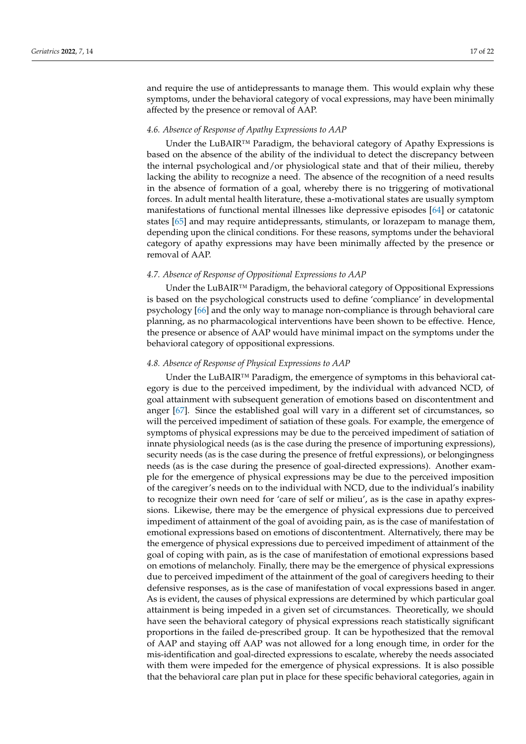and require the use of antidepressants to manage them. This would explain why these symptoms, under the behavioral category of vocal expressions, may have been minimally affected by the presence or removal of AAP.

#### *4.6. Absence of Response of Apathy Expressions to AAP*

Under the LuBAIR™ Paradigm, the behavioral category of Apathy Expressions is based on the absence of the ability of the individual to detect the discrepancy between the internal psychological and/or physiological state and that of their milieu, thereby lacking the ability to recognize a need. The absence of the recognition of a need results in the absence of formation of a goal, whereby there is no triggering of motivational forces. In adult mental health literature, these a-motivational states are usually symptom manifestations of functional mental illnesses like depressive episodes [\[64\]](#page-20-26) or catatonic states [\[65\]](#page-20-27) and may require antidepressants, stimulants, or lorazepam to manage them, depending upon the clinical conditions. For these reasons, symptoms under the behavioral category of apathy expressions may have been minimally affected by the presence or removal of AAP.

## *4.7. Absence of Response of Oppositional Expressions to AAP*

Under the LuBAIR™ Paradigm, the behavioral category of Oppositional Expressions is based on the psychological constructs used to define 'compliance' in developmental psychology [\[66\]](#page-20-28) and the only way to manage non-compliance is through behavioral care planning, as no pharmacological interventions have been shown to be effective. Hence, the presence or absence of AAP would have minimal impact on the symptoms under the behavioral category of oppositional expressions.

#### *4.8. Absence of Response of Physical Expressions to AAP*

Under the LuBAIR™ Paradigm, the emergence of symptoms in this behavioral category is due to the perceived impediment, by the individual with advanced NCD, of goal attainment with subsequent generation of emotions based on discontentment and anger [\[67\]](#page-21-0). Since the established goal will vary in a different set of circumstances, so will the perceived impediment of satiation of these goals. For example, the emergence of symptoms of physical expressions may be due to the perceived impediment of satiation of innate physiological needs (as is the case during the presence of importuning expressions), security needs (as is the case during the presence of fretful expressions), or belongingness needs (as is the case during the presence of goal-directed expressions). Another example for the emergence of physical expressions may be due to the perceived imposition of the caregiver's needs on to the individual with NCD, due to the individual's inability to recognize their own need for 'care of self or milieu', as is the case in apathy expressions. Likewise, there may be the emergence of physical expressions due to perceived impediment of attainment of the goal of avoiding pain, as is the case of manifestation of emotional expressions based on emotions of discontentment. Alternatively, there may be the emergence of physical expressions due to perceived impediment of attainment of the goal of coping with pain, as is the case of manifestation of emotional expressions based on emotions of melancholy. Finally, there may be the emergence of physical expressions due to perceived impediment of the attainment of the goal of caregivers heeding to their defensive responses, as is the case of manifestation of vocal expressions based in anger. As is evident, the causes of physical expressions are determined by which particular goal attainment is being impeded in a given set of circumstances. Theoretically, we should have seen the behavioral category of physical expressions reach statistically significant proportions in the failed de-prescribed group. It can be hypothesized that the removal of AAP and staying off AAP was not allowed for a long enough time, in order for the mis-identification and goal-directed expressions to escalate, whereby the needs associated with them were impeded for the emergence of physical expressions. It is also possible that the behavioral care plan put in place for these specific behavioral categories, again in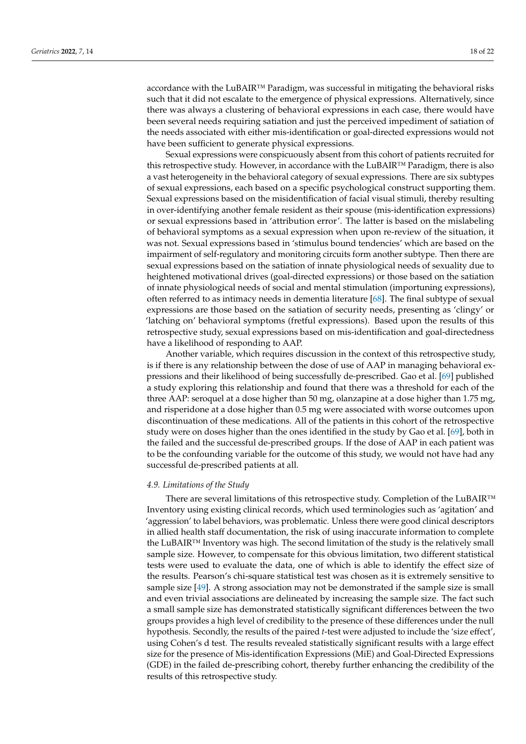accordance with the LuBAIR™ Paradigm, was successful in mitigating the behavioral risks such that it did not escalate to the emergence of physical expressions. Alternatively, since there was always a clustering of behavioral expressions in each case, there would have been several needs requiring satiation and just the perceived impediment of satiation of the needs associated with either mis-identification or goal-directed expressions would not have been sufficient to generate physical expressions.

Sexual expressions were conspicuously absent from this cohort of patients recruited for this retrospective study. However, in accordance with the LuBAIR™ Paradigm, there is also a vast heterogeneity in the behavioral category of sexual expressions. There are six subtypes of sexual expressions, each based on a specific psychological construct supporting them. Sexual expressions based on the misidentification of facial visual stimuli, thereby resulting in over-identifying another female resident as their spouse (mis-identification expressions) or sexual expressions based in 'attribution error'. The latter is based on the mislabeling of behavioral symptoms as a sexual expression when upon re-review of the situation, it was not. Sexual expressions based in 'stimulus bound tendencies' which are based on the impairment of self-regulatory and monitoring circuits form another subtype. Then there are sexual expressions based on the satiation of innate physiological needs of sexuality due to heightened motivational drives (goal-directed expressions) or those based on the satiation of innate physiological needs of social and mental stimulation (importuning expressions), often referred to as intimacy needs in dementia literature [\[68\]](#page-21-1). The final subtype of sexual expressions are those based on the satiation of security needs, presenting as 'clingy' or 'latching on' behavioral symptoms (fretful expressions). Based upon the results of this retrospective study, sexual expressions based on mis-identification and goal-directedness have a likelihood of responding to AAP.

Another variable, which requires discussion in the context of this retrospective study, is if there is any relationship between the dose of use of AAP in managing behavioral expressions and their likelihood of being successfully de-prescribed. Gao et al. [\[69\]](#page-21-2) published a study exploring this relationship and found that there was a threshold for each of the three AAP: seroquel at a dose higher than 50 mg, olanzapine at a dose higher than 1.75 mg, and risperidone at a dose higher than 0.5 mg were associated with worse outcomes upon discontinuation of these medications. All of the patients in this cohort of the retrospective study were on doses higher than the ones identified in the study by Gao et al. [\[69\]](#page-21-2), both in the failed and the successful de-prescribed groups. If the dose of AAP in each patient was to be the confounding variable for the outcome of this study, we would not have had any successful de-prescribed patients at all.

#### *4.9. Limitations of the Study*

There are several limitations of this retrospective study. Completion of the LuBAIR™ Inventory using existing clinical records, which used terminologies such as 'agitation' and 'aggression' to label behaviors, was problematic. Unless there were good clinical descriptors in allied health staff documentation, the risk of using inaccurate information to complete the LuBAIR™ Inventory was high. The second limitation of the study is the relatively small sample size. However, to compensate for this obvious limitation, two different statistical tests were used to evaluate the data, one of which is able to identify the effect size of the results. Pearson's chi-square statistical test was chosen as it is extremely sensitive to sample size [\[49\]](#page-20-11). A strong association may not be demonstrated if the sample size is small and even trivial associations are delineated by increasing the sample size. The fact such a small sample size has demonstrated statistically significant differences between the two groups provides a high level of credibility to the presence of these differences under the null hypothesis. Secondly, the results of the paired *t*-test were adjusted to include the 'size effect', using Cohen's d test. The results revealed statistically significant results with a large effect size for the presence of Mis-identification Expressions (MiE) and Goal-Directed Expressions (GDE) in the failed de-prescribing cohort, thereby further enhancing the credibility of the results of this retrospective study.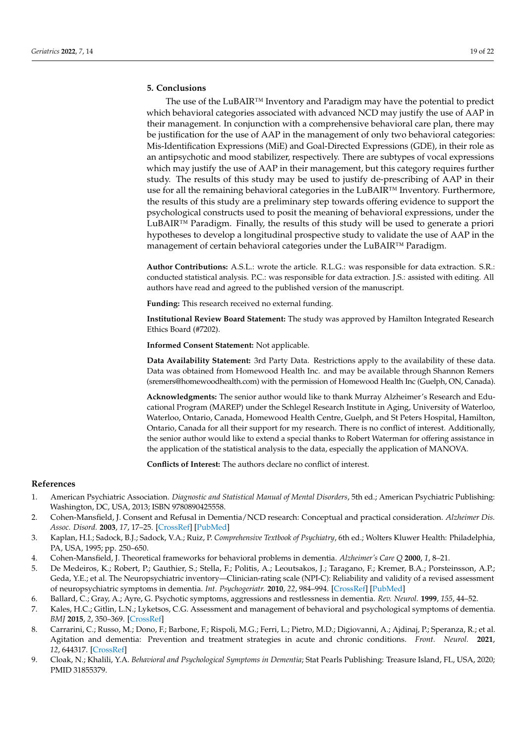## **5. Conclusions**

The use of the LuBAIR™ Inventory and Paradigm may have the potential to predict which behavioral categories associated with advanced NCD may justify the use of AAP in their management. In conjunction with a comprehensive behavioral care plan, there may be justification for the use of AAP in the management of only two behavioral categories: Mis-Identification Expressions (MiE) and Goal-Directed Expressions (GDE), in their role as an antipsychotic and mood stabilizer, respectively. There are subtypes of vocal expressions which may justify the use of AAP in their management, but this category requires further study. The results of this study may be used to justify de-prescribing of AAP in their use for all the remaining behavioral categories in the LuBAIR™ Inventory. Furthermore, the results of this study are a preliminary step towards offering evidence to support the psychological constructs used to posit the meaning of behavioral expressions, under the LuBAIR™ Paradigm. Finally, the results of this study will be used to generate a priori hypotheses to develop a longitudinal prospective study to validate the use of AAP in the management of certain behavioral categories under the LuBAIR™ Paradigm.

**Author Contributions:** A.S.L.: wrote the article. R.L.G.: was responsible for data extraction. S.R.: conducted statistical analysis. P.C.: was responsible for data extraction. J.S.: assisted with editing. All authors have read and agreed to the published version of the manuscript.

**Funding:** This research received no external funding.

**Institutional Review Board Statement:** The study was approved by Hamilton Integrated Research Ethics Board (#7202).

**Informed Consent Statement:** Not applicable.

**Data Availability Statement:** 3rd Party Data. Restrictions apply to the availability of these data. Data was obtained from Homewood Health Inc. and may be available through Shannon Remers (sremers@homewoodhealth.com) with the permission of Homewood Health Inc (Guelph, ON, Canada).

**Acknowledgments:** The senior author would like to thank Murray Alzheimer's Research and Educational Program (MAREP) under the Schlegel Research Institute in Aging, University of Waterloo, Waterloo, Ontario, Canada, Homewood Health Centre, Guelph, and St Peters Hospital, Hamilton, Ontario, Canada for all their support for my research. There is no conflict of interest. Additionally, the senior author would like to extend a special thanks to Robert Waterman for offering assistance in the application of the statistical analysis to the data, especially the application of MANOVA.

**Conflicts of Interest:** The authors declare no conflict of interest.

# **References**

- <span id="page-18-0"></span>1. American Psychiatric Association. *Diagnostic and Statistical Manual of Mental Disorders*, 5th ed.; American Psychiatric Publishing: Washington, DC, USA, 2013; ISBN 9780890425558.
- <span id="page-18-1"></span>2. Cohen-Mansfield, J. Consent and Refusal in Dementia/NCD research: Conceptual and practical consideration. *Alzheimer Dis. Assoc. Disord.* **2003**, *17*, 17–25. [\[CrossRef\]](http://doi.org/10.1097/00002093-200304001-00004) [\[PubMed\]](http://www.ncbi.nlm.nih.gov/pubmed/12813220)
- <span id="page-18-2"></span>3. Kaplan, H.I.; Sadock, B.J.; Sadock, V.A.; Ruiz, P. *Comprehensive Textbook of Psychiatry*, 6th ed.; Wolters Kluwer Health: Philadelphia, PA, USA, 1995; pp. 250–650.
- <span id="page-18-3"></span>4. Cohen-Mansfield, J. Theoretical frameworks for behavioral problems in dementia. *Alzheimer's Care Q* **2000**, *1*, 8–21.
- <span id="page-18-8"></span>5. De Medeiros, K.; Robert, P.; Gauthier, S.; Stella, F.; Politis, A.; Leoutsakos, J.; Taragano, F.; Kremer, B.A.; Porsteinsson, A.P.; Geda, Y.E.; et al. The Neuropsychiatric inventory—Clinician-rating scale (NPI-C): Reliability and validity of a revised assessment of neuropsychiatric symptoms in dementia. *Int. Psychogeriatr.* **2010**, *22*, 984–994. [\[CrossRef\]](http://doi.org/10.1017/S1041610210000876) [\[PubMed\]](http://www.ncbi.nlm.nih.gov/pubmed/20594384)
- <span id="page-18-4"></span>6. Ballard, C.; Gray, A.; Ayre, G. Psychotic symptoms, aggressions and restlessness in dementia. *Rev. Neurol.* **1999**, *155*, 44–52.
- <span id="page-18-5"></span>7. Kales, H.C.; Gitlin, L.N.; Lyketsos, C.G. Assessment and management of behavioral and psychological symptoms of dementia. *BMJ* **2015**, *2*, 350–369. [\[CrossRef\]](http://doi.org/10.1136/bmj.h369)
- <span id="page-18-6"></span>8. Carrarini, C.; Russo, M.; Dono, F.; Barbone, F.; Rispoli, M.G.; Ferri, L.; Pietro, M.D.; Digiovanni, A.; Ajdinaj, P.; Speranza, R.; et al. Agitation and dementia: Prevention and treatment strategies in acute and chronic conditions. *Front. Neurol.* **2021**, *12*, 644317. [\[CrossRef\]](http://doi.org/10.3389/fneur.2021.644317)
- <span id="page-18-7"></span>9. Cloak, N.; Khalili, Y.A. *Behavioral and Psychological Symptoms in Dementia*; Stat Pearls Publishing: Treasure Island, FL, USA, 2020; PMID 31855379.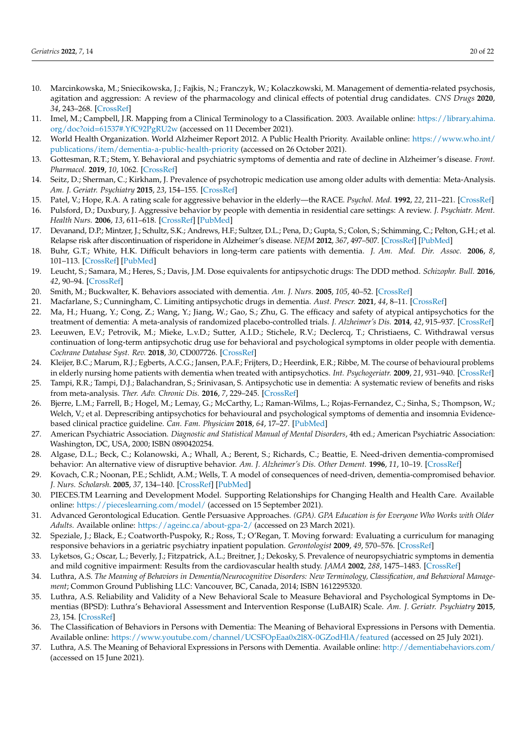- <span id="page-19-0"></span>10. Marcinkowska, M.; Sniecikowska, J.; Fajkis, N.; Franczyk, W.; Kolaczkowski, M. Management of dementia-related psychosis, agitation and aggression: A review of the pharmacology and clinical effects of potential drug candidates. *CNS Drugs* **2020**, *34*, 243–268. [\[CrossRef\]](http://doi.org/10.1007/s40263-020-00707-7)
- <span id="page-19-1"></span>11. Imel, M.; Campbell, J.R. Mapping from a Clinical Terminology to a Classification. 2003. Available online: [https://library.ahima.](https://library.ahima.org/doc?oid=61537#.YfC92PgRU2w) [org/doc?oid=61537#.YfC92PgRU2w](https://library.ahima.org/doc?oid=61537#.YfC92PgRU2w) (accessed on 11 December 2021).
- <span id="page-19-2"></span>12. World Health Organization. World Alzheimer Report 2012. A Public Health Priority. Available online: [https://www.who.int/](https://www.who.int/publications/item/dementia-a-public-health-priority) [publications/item/dementia-a-public-health-priority](https://www.who.int/publications/item/dementia-a-public-health-priority) (accessed on 26 October 2021).
- <span id="page-19-3"></span>13. Gottesman, R.T.; Stem, Y. Behavioral and psychiatric symptoms of dementia and rate of decline in Alzheimer's disease. *Front. Pharmacol.* **2019**, *10*, 1062. [\[CrossRef\]](http://doi.org/10.3389/fphar.2019.01062)
- <span id="page-19-4"></span>14. Seitz, D.; Sherman, C.; Kirkham, J. Prevalence of psychotropic medication use among older adults with dementia: Meta-Analysis. *Am. J. Geriatr. Psychiatry* **2015**, *23*, 154–155. [\[CrossRef\]](http://doi.org/10.1016/j.jagp.2014.12.161)
- 15. Patel, V.; Hope, R.A. A rating scale for aggressive behavior in the elderly—the RACE. *Psychol. Med.* **1992**, *22*, 211–221. [\[CrossRef\]](http://doi.org/10.1017/S0033291700032876)
- <span id="page-19-5"></span>16. Pulsford, D.; Duxbury, J. Aggressive behavior by people with dementia in residential care settings: A review. *J. Psychiatr. Ment. Health Nurs.* **2006**, *13*, 611–618. [\[CrossRef\]](http://doi.org/10.1111/j.1365-2850.2006.00964.x) [\[PubMed\]](http://www.ncbi.nlm.nih.gov/pubmed/16965482)
- <span id="page-19-6"></span>17. Devanand, D.P.; Mintzer, J.; Schultz, S.K.; Andrews, H.F.; Sultzer, D.L.; Pena, D.; Gupta, S.; Colon, S.; Schimming, C.; Pelton, G.H.; et al. Relapse risk after discontinuation of risperidone in Alzheimer's disease. *NEJM* **2012**, *367*, 497–507. [\[CrossRef\]](http://doi.org/10.1056/NEJMoa1114058) [\[PubMed\]](http://www.ncbi.nlm.nih.gov/pubmed/23075176)
- <span id="page-19-7"></span>18. Buhr, G.T.; White, H.K. Difficult behaviors in long-term care patients with dementia. *J. Am. Med. Dir. Assoc.* **2006**, *8*, 101–113. [\[CrossRef\]](http://doi.org/10.1016/j.jamda.2006.12.012) [\[PubMed\]](http://www.ncbi.nlm.nih.gov/pubmed/17352973)
- <span id="page-19-8"></span>19. Leucht, S.; Samara, M.; Heres, S.; Davis, J.M. Dose equivalents for antipsychotic drugs: The DDD method. *Schizophr. Bull.* **2016**, *42*, 90–94. [\[CrossRef\]](http://doi.org/10.1093/schbul/sbv167)
- <span id="page-19-9"></span>20. Smith, M.; Buckwalter, K. Behaviors associated with dementia. *Am. J. Nurs.* **2005**, *105*, 40–52. [\[CrossRef\]](http://doi.org/10.1097/00000446-200507000-00028)
- <span id="page-19-10"></span>21. Macfarlane, S.; Cunningham, C. Limiting antipsychotic drugs in dementia. *Aust. Prescr.* **2021**, *44*, 8–11. [\[CrossRef\]](http://doi.org/10.18773/austprescr.2020.078)
- <span id="page-19-11"></span>22. Ma, H.; Huang, Y.; Cong, Z.; Wang, Y.; Jiang, W.; Gao, S.; Zhu, G. The efficacy and safety of atypical antipsychotics for the treatment of dementia: A meta-analysis of randomized placebo-controlled trials. *J. Alzheimer's Dis.* **2014**, *42*, 915–937. [\[CrossRef\]](http://doi.org/10.3233/JAD-140579)
- <span id="page-19-12"></span>23. Leeuwen, E.V.; Petrovik, M.; Mieke, L.v.D.; Sutter, A.I.D.; Stichele, R.V.; Declercq, T.; Christiaens, C. Withdrawal versus continuation of long-term antipsychotic drug use for behavioral and psychological symptoms in older people with dementia. *Cochrane Database Syst. Rev.* **2018**, *30*, CD007726. [\[CrossRef\]](http://doi.org/10.1002/14651858.CD007726.pub3)
- <span id="page-19-13"></span>24. Kleijer, B.C.; Marum, R.J.; Egberts, A.C.G.; Jansen, P.A.F.; Frijters, D.; Heerdink, E.R.; Ribbe, M. The course of behavioural problems in elderly nursing home patients with dementia when treated with antipsychotics. *Int. Psychogeriatr.* **2009**, *21*, 931–940. [\[CrossRef\]](http://doi.org/10.1017/S1041610209990524)
- <span id="page-19-14"></span>25. Tampi, R.R.; Tampi, D.J.; Balachandran, S.; Srinivasan, S. Antipsychotic use in dementia: A systematic review of benefits and risks from meta-analysis. *Ther. Adv. Chronic Dis.* **2016**, *7*, 229–245. [\[CrossRef\]](http://doi.org/10.1177/2040622316658463)
- <span id="page-19-15"></span>26. Bjerre, L.M.; Farrell, B.; Hogel, M.; Lemay, G.; McCarthy, L.; Raman-Wilms, L.; Rojas-Fernandez, C.; Sinha, S.; Thompson, W.; Welch, V.; et al. Deprescribing antipsychotics for behavioural and psychological symptoms of dementia and insomnia Evidencebased clinical practice guideline. *Can. Fam. Physician* **2018**, *64*, 17–27. [\[PubMed\]](http://www.ncbi.nlm.nih.gov/pubmed/29358245)
- <span id="page-19-16"></span>27. American Psychiatric Association. *Diagnostic and Statistical Manual of Mental Disorders*, 4th ed.; American Psychiatric Association: Washington, DC, USA, 2000; ISBN 0890420254.
- <span id="page-19-17"></span>28. Algase, D.L.; Beck, C.; Kolanowski, A.; Whall, A.; Berent, S.; Richards, C.; Beattie, E. Need-driven dementia-compromised behavior: An alternative view of disruptive behavior. *Am. J. Alzheimer's Dis. Other Dement.* **1996**, *11*, 10–19. [\[CrossRef\]](http://doi.org/10.1177/153331759601100603)
- <span id="page-19-18"></span>29. Kovach, C.R.; Noonan, P.E.; Schlidt, A.M.; Wells, T. A model of consequences of need-driven, dementia-compromised behavior. *J. Nurs. Scholarsh.* **2005**, *37*, 134–140. [\[CrossRef\]](http://doi.org/10.1111/j.1547-5069.2005.00025_1.x) [\[PubMed\]](http://www.ncbi.nlm.nih.gov/pubmed/15960057)
- <span id="page-19-19"></span>30. PIECES.TM Learning and Development Model. Supporting Relationships for Changing Health and Health Care. Available online: <https://pieceslearning.com/model/> (accessed on 15 September 2021).
- <span id="page-19-20"></span>31. Advanced Gerontological Education. Gentle Persuasive Approaches. *(GPA). GPA Education is for Everyone Who Works with Older Adults.* Available online: <https://ageinc.ca/about-gpa-2/> (accessed on 23 March 2021).
- <span id="page-19-21"></span>32. Speziale, J.; Black, E.; Coatworth-Puspoky, R.; Ross, T.; O'Regan, T. Moving forward: Evaluating a curriculum for managing responsive behaviors in a geriatric psychiatry inpatient population. *Gerontologist* **2009**, *49*, 570–576. [\[CrossRef\]](http://doi.org/10.1093/geront/gnp069)
- <span id="page-19-22"></span>33. Lyketsos, G.; Oscar, L.; Beverly, J.; Fitzpatrick, A.L.; Breitner, J.; Dekosky, S. Prevalence of neuropsychiatric symptoms in dementia and mild cognitive impairment: Results from the cardiovascular health study. *JAMA* **2002**, *288*, 1475–1483. [\[CrossRef\]](http://doi.org/10.1001/jama.288.12.1475)
- <span id="page-19-23"></span>34. Luthra, A.S. *The Meaning of Behaviors in Dementia/Neurocognitive Disorders: New Terminology, Classification, and Behavioral Management*; Common Ground Publishing LLC: Vancouver, BC, Canada, 2014; ISBN 1612295320.
- <span id="page-19-24"></span>35. Luthra, A.S. Reliability and Validity of a New Behavioral Scale to Measure Behavioral and Psychological Symptoms in Dementias (BPSD): Luthra's Behavioral Assessment and Intervention Response (LuBAIR) Scale. *Am. J. Geriatr. Psychiatry* **2015**, *23*, 154. [\[CrossRef\]](http://doi.org/10.1016/j.jagp.2014.12.160)
- 36. The Classification of Behaviors in Persons with Dementia: The Meaning of Behavioral Expressions in Persons with Dementia. Available online: <https://www.youtube.com/channel/UCSFOpEaa0x2l8X-0GZodHlA/featured> (accessed on 25 July 2021).
- <span id="page-19-25"></span>37. Luthra, A.S. The Meaning of Behavioral Expressions in Persons with Dementia. Available online: <http://dementiabehaviors.com/> (accessed on 15 June 2021).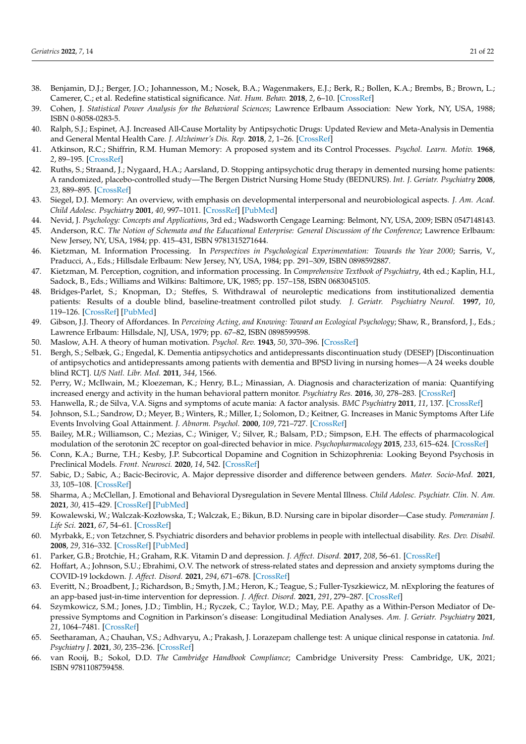- <span id="page-20-0"></span>38. Benjamin, D.J.; Berger, J.O.; Johannesson, M.; Nosek, B.A.; Wagenmakers, E.J.; Berk, R.; Bollen, K.A.; Brembs, B.; Brown, L.; Camerer, C.; et al. Redefine statistical significance. *Nat. Hum. Behav.* **2018**, *2*, 6–10. [\[CrossRef\]](http://doi.org/10.1038/s41562-017-0189-z)
- <span id="page-20-1"></span>39. Cohen, J. *Statistical Power Analysis for the Behavioral Sciences*; Lawrence Erlbaum Association: New York, NY, USA, 1988; ISBN 0-8058-0283-5.
- <span id="page-20-2"></span>40. Ralph, S.J.; Espinet, A.J. Increased All-Cause Mortality by Antipsychotic Drugs: Updated Review and Meta-Analysis in Dementia and General Mental Health Care. *J. Alzheimer's Dis. Rep.* **2018**, *2*, 1–26. [\[CrossRef\]](http://doi.org/10.3233/ADR-170042)
- <span id="page-20-3"></span>41. Atkinson, R.C.; Shiffrin, R.M. Human Memory: A proposed system and its Control Processes. *Psychol. Learn. Motiv.* **1968**, *2*, 89–195. [\[CrossRef\]](http://doi.org/10.1016/s0079-7421(08)60422-3)
- <span id="page-20-4"></span>42. Ruths, S.; Straand, J.; Nygaard, H.A.; Aarsland, D. Stopping antipsychotic drug therapy in demented nursing home patients: A randomized, placebo-controlled study—The Bergen District Nursing Home Study (BEDNURS). *Int. J. Geriatr. Psychiatry* **2008**, *23*, 889–895. [\[CrossRef\]](http://doi.org/10.1002/gps.1998)
- <span id="page-20-5"></span>43. Siegel, D.J. Memory: An overview, with emphasis on developmental interpersonal and neurobiological aspects. *J. Am. Acad. Child Adolesc. Psychiatry* **2001**, *40*, 997–1011. [\[CrossRef\]](http://doi.org/10.1097/00004583-200109000-00008) [\[PubMed\]](http://www.ncbi.nlm.nih.gov/pubmed/11556645)
- <span id="page-20-6"></span>44. Nevid, J. *Psychology: Concepts and Applications*, 3rd ed.; Wadsworth Cengage Learning: Belmont, NY, USA, 2009; ISBN 0547148143.
- <span id="page-20-7"></span>45. Anderson, R.C. *The Notion of Schemata and the Educational Enterprise: General Discussion of the Conference*; Lawrence Erlbaum: New Jersey, NY, USA, 1984; pp. 415–431, ISBN 9781315271644.
- <span id="page-20-8"></span>46. Kietzman, M. Information Processing. In *Perspectives in Psychological Experimentation: Towards the Year 2000*; Sarris, V., Praducci, A., Eds.; Hillsdale Erlbaum: New Jersey, NY, USA, 1984; pp. 291–309, ISBN 0898592887.
- <span id="page-20-9"></span>47. Kietzman, M. Perception, cognition, and information processing. In *Comprehensive Textbook of Psychiatry*, 4th ed.; Kaplin, H.I., Sadock, B., Eds.; Williams and Wilkins: Baltimore, UK, 1985; pp. 157–158, ISBN 0683045105.
- <span id="page-20-10"></span>48. Bridges-Parlet, S.; Knopman, D.; Steffes, S. Withdrawal of neuroleptic medications from institutionalized dementia patients: Results of a double blind, baseline-treatment controlled pilot study. *J. Geriatr. Psychiatry Neurol.* **1997**, *10*, 119–126. [\[CrossRef\]](http://doi.org/10.1177/089198879701000306) [\[PubMed\]](http://www.ncbi.nlm.nih.gov/pubmed/9322135)
- <span id="page-20-11"></span>49. Gibson, J.J. Theory of Affordances. In *Perceiving Acting, and Knowing: Toward an Ecological Psychology*; Shaw, R., Bransford, J., Eds.; Lawrence Erlbaum: Hillsdale, NJ, USA, 1979; pp. 67–82, ISBN 0898599598.
- <span id="page-20-12"></span>50. Maslow, A.H. A theory of human motivation. *Psychol. Rev.* **1943**, *50*, 370–396. [\[CrossRef\]](http://doi.org/10.1037/h0054346)
- <span id="page-20-13"></span>51. Bergh, S.; Selbæk, G.; Engedal, K. Dementia antipsychotics and antidepressants discontinuation study (DESEP) [Discontinuation of antipsychotics and antidepressants among patients with dementia and BPSD living in nursing homes—A 24 weeks double blind RCT]. *U/S Natl. Libr. Med.* **2011**, *344*, 1566.
- <span id="page-20-14"></span>52. Perry, W.; McIlwain, M.; Kloezeman, K.; Henry, B.L.; Minassian, A. Diagnosis and characterization of mania: Quantifying increased energy and activity in the human behavioral pattern monitor. *Psychiatry Res.* **2016**, *30*, 278–283. [\[CrossRef\]](http://doi.org/10.1016/j.psychres.2016.04.078)
- <span id="page-20-15"></span>53. Hanwella, R.; de Silva, V.A. Signs and symptoms of acute mania: A factor analysis. *BMC Psychiatry* **2011**, *11*, 137. [\[CrossRef\]](http://doi.org/10.1186/1471-244X-11-137)
- <span id="page-20-16"></span>54. Johnson, S.L.; Sandrow, D.; Meyer, B.; Winters, R.; Miller, I.; Solomon, D.; Keitner, G. Increases in Manic Symptoms After Life Events Involving Goal Attainment. *J. Abnorm. Psychol.* **2000**, *109*, 721–727. [\[CrossRef\]](http://doi.org/10.1037/0021-843X.109.4.721)
- <span id="page-20-17"></span>55. Bailey, M.R.; Williamson, C.; Mezias, C.; Winiger, V.; Silver, R.; Balsam, P.D.; Simpson, E.H. The effects of pharmacological modulation of the serotonin 2C receptor on goal-directed behavior in mice. *Psychopharmacology* **2015**, *233*, 615–624. [\[CrossRef\]](http://doi.org/10.1007/s00213-015-4135-3)
- <span id="page-20-18"></span>56. Conn, K.A.; Burne, T.H.; Kesby, J.P. Subcortical Dopamine and Cognition in Schizophrenia: Looking Beyond Psychosis in Preclinical Models. *Front. Neurosci.* **2020**, *14*, 542. [\[CrossRef\]](http://doi.org/10.3389/fnins.2020.00542)
- <span id="page-20-19"></span>57. Sabic, D.; Sabic, A.; Bacic-Becirovic, A. Major depressive disorder and difference between genders. *Mater. Socio-Med.* **2021**, *33*, 105–108. [\[CrossRef\]](http://doi.org/10.5455/msm.2021.33.105-108)
- <span id="page-20-20"></span>58. Sharma, A.; McClellan, J. Emotional and Behavioral Dysregulation in Severe Mental Illness. *Child Adolesc. Psychiatr. Clin. N. Am.* **2021**, *30*, 415–429. [\[CrossRef\]](http://doi.org/10.1016/j.chc.2020.10.010) [\[PubMed\]](http://www.ncbi.nlm.nih.gov/pubmed/33743948)
- <span id="page-20-21"></span>59. Kowalewski, W.; Walczak-Kozłowska, T.; Walczak, E.; Bikun, B.D. Nursing care in bipolar disorder—Case study. *Pomeranian J. Life Sci.* **2021**, *67*, 54–61. [\[CrossRef\]](http://doi.org/10.21164/pomjlifesci.772)
- <span id="page-20-22"></span>60. Myrbakk, E.; von Tetzchner, S. Psychiatric disorders and behavior problems in people with intellectual disability. *Res. Dev. Disabil.* **2008**, *29*, 316–332. [\[CrossRef\]](http://doi.org/10.1016/j.ridd.2007.06.002) [\[PubMed\]](http://www.ncbi.nlm.nih.gov/pubmed/17616450)
- <span id="page-20-23"></span>61. Parker, G.B.; Brotchie, H.; Graham, R.K. Vitamin D and depression. *J. Affect. Disord.* **2017**, *208*, 56–61. [\[CrossRef\]](http://doi.org/10.1016/j.jad.2016.08.082)
- <span id="page-20-24"></span>62. Hoffart, A.; Johnson, S.U.; Ebrahimi, O.V. The network of stress-related states and depression and anxiety symptoms during the COVID-19 lockdown. *J. Affect. Disord.* **2021**, *294*, 671–678. [\[CrossRef\]](http://doi.org/10.1016/j.jad.2021.07.019)
- <span id="page-20-25"></span>63. Everitt, N.; Broadbent, J.; Richardson, B.; Smyth, J.M.; Heron, K.; Teague, S.; Fuller-Tyszkiewicz, M. nExploring the features of an app-based just-in-time intervention for depression. *J. Affect. Disord.* **2021**, *291*, 279–287. [\[CrossRef\]](http://doi.org/10.1016/j.jad.2021.05.021)
- <span id="page-20-26"></span>64. Szymkowicz, S.M.; Jones, J.D.; Timblin, H.; Ryczek, C.; Taylor, W.D.; May, P.E. Apathy as a Within-Person Mediator of Depressive Symptoms and Cognition in Parkinson's disease: Longitudinal Mediation Analyses. *Am. J. Geriatr. Psychiatry* **2021**, *21*, 1064–7481. [\[CrossRef\]](http://doi.org/10.1016/j.jagp.2021.11.007)
- <span id="page-20-27"></span>65. Seetharaman, A.; Chauhan, V.S.; Adhvaryu, A.; Prakash, J. Lorazepam challenge test: A unique clinical response in catatonia. *Ind. Psychiatry J.* **2021**, *30*, 235–236. [\[CrossRef\]](http://doi.org/10.4103/0972-6748.328871)
- <span id="page-20-28"></span>66. van Rooij, B.; Sokol, D.D. *The Cambridge Handbook Compliance*; Cambridge University Press: Cambridge, UK, 2021; ISBN 9781108759458.